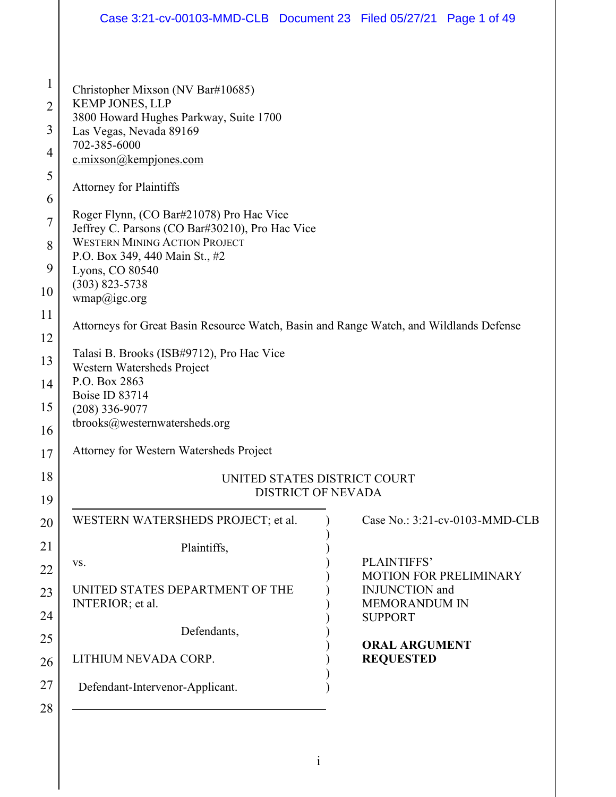| Christopher Mixson (NV Bar#10685)<br><b>KEMP JONES, LLP</b><br>3800 Howard Hughes Parkway, Suite 1700<br>Las Vegas, Nevada 89169<br>702-385-6000<br>c.mixson@kempjones.com<br><b>Attorney for Plaintiffs</b><br>Roger Flynn, (CO Bar#21078) Pro Hac Vice<br>Jeffrey C. Parsons (CO Bar#30210), Pro Hac Vice<br><b>WESTERN MINING ACTION PROJECT</b><br>P.O. Box 349, 440 Main St., #2<br>Lyons, CO 80540<br>$(303)$ 823-5738<br>wmap@igc.org<br>Talasi B. Brooks (ISB#9712), Pro Hac Vice<br>Western Watersheds Project<br>P.O. Box 2863<br>Boise ID 83714<br>$(208)$ 336-9077<br>tbrooks@westernwatersheds.org |                                                              |                                                                                                                                                                                                                                                |
|-----------------------------------------------------------------------------------------------------------------------------------------------------------------------------------------------------------------------------------------------------------------------------------------------------------------------------------------------------------------------------------------------------------------------------------------------------------------------------------------------------------------------------------------------------------------------------------------------------------------|--------------------------------------------------------------|------------------------------------------------------------------------------------------------------------------------------------------------------------------------------------------------------------------------------------------------|
| Attorney for Western Watersheds Project                                                                                                                                                                                                                                                                                                                                                                                                                                                                                                                                                                         |                                                              |                                                                                                                                                                                                                                                |
|                                                                                                                                                                                                                                                                                                                                                                                                                                                                                                                                                                                                                 |                                                              |                                                                                                                                                                                                                                                |
| WESTERN WATERSHEDS PROJECT; et al.                                                                                                                                                                                                                                                                                                                                                                                                                                                                                                                                                                              |                                                              | Case No.: 3:21-cv-0103-MMD-CLB                                                                                                                                                                                                                 |
| Plaintiffs,<br>VS.<br>UNITED STATES DEPARTMENT OF THE<br>INTERIOR; et al.                                                                                                                                                                                                                                                                                                                                                                                                                                                                                                                                       | PLAINTIFFS'<br><b>INJUNCTION</b> and<br><b>MEMORANDUM IN</b> | <b>MOTION FOR PRELIMINARY</b>                                                                                                                                                                                                                  |
| Defendants,<br>LITHIUM NEVADA CORP.<br>Defendant-Intervenor-Applicant.                                                                                                                                                                                                                                                                                                                                                                                                                                                                                                                                          | <b>ORAL ARGUMENT</b><br><b>REQUESTED</b>                     |                                                                                                                                                                                                                                                |
|                                                                                                                                                                                                                                                                                                                                                                                                                                                                                                                                                                                                                 |                                                              | Case 3:21-cv-00103-MMD-CLB  Document 23  Filed 05/27/21  Page 1 of 49<br>Attorneys for Great Basin Resource Watch, Basin and Range Watch, and Wildlands Defense<br>UNITED STATES DISTRICT COURT<br><b>DISTRICT OF NEVADA</b><br><b>SUPPORT</b> |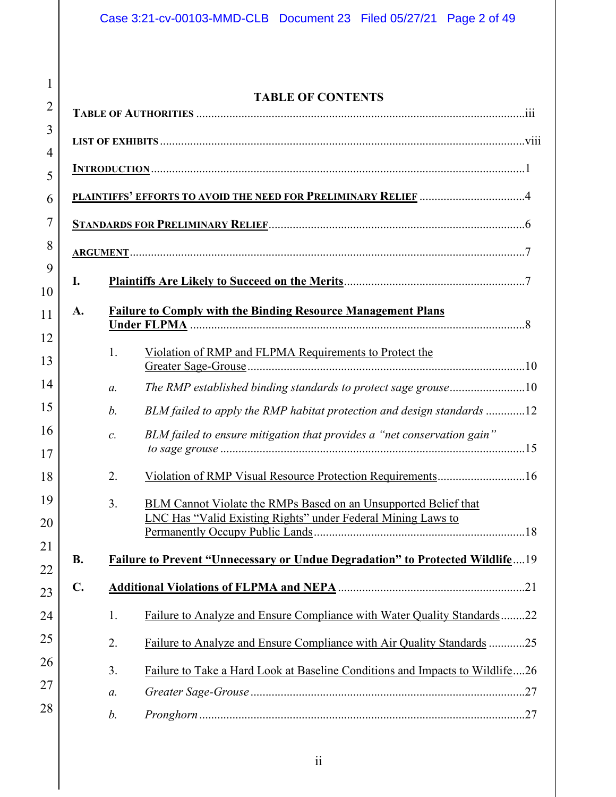| $\mathbf{1}$            |
|-------------------------|
| $\overline{2}$          |
| $\overline{\mathbf{3}}$ |
| $\overline{4}$          |
| 5                       |
| $\overline{6}$          |
| $\overline{7}$          |
| 8                       |
| 9                       |
| 10                      |
| 11                      |
| 12                      |
| 13                      |
| 14                      |
| 15                      |
| 16                      |
| $\frac{17}{1}$          |
| 18                      |
| 19                      |
| 20                      |
| $21\,$                  |
|                         |
|                         |
| 2                       |
| 25                      |
| 26                      |
|                         |

28

# **TABLE OF CONTENTS**

|                |                | PLAINTIFFS' EFFORTS TO AVOID THE NEED FOR PRELIMINARY RELIEF 4                                                                         |  |
|----------------|----------------|----------------------------------------------------------------------------------------------------------------------------------------|--|
|                |                |                                                                                                                                        |  |
|                |                |                                                                                                                                        |  |
| I.             |                |                                                                                                                                        |  |
| A.             |                | <b>Failure to Comply with the Binding Resource Management Plans</b>                                                                    |  |
|                | 1.             | Violation of RMP and FLPMA Requirements to Protect the                                                                                 |  |
|                | $a$ .          | The RMP established binding standards to protect sage grouse10                                                                         |  |
|                | b.             | BLM failed to apply the RMP habitat protection and design standards 12                                                                 |  |
|                | $\mathcal{C}.$ | BLM failed to ensure mitigation that provides a "net conservation gain"                                                                |  |
|                | 2.             |                                                                                                                                        |  |
|                | 3.             | BLM Cannot Violate the RMPs Based on an Unsupported Belief that<br><b>LNC Has "Valid Existing Rights" under Federal Mining Laws to</b> |  |
| В.             |                | Failure to Prevent "Unnecessary or Undue Degradation" to Protected Wildlife19                                                          |  |
| $\mathbf{C}$ . |                |                                                                                                                                        |  |
|                | 1.             | Failure to Analyze and Ensure Compliance with Water Quality Standards22                                                                |  |
|                | 2.             | Failure to Analyze and Ensure Compliance with Air Quality Standards 25                                                                 |  |
|                | 3.             | Failure to Take a Hard Look at Baseline Conditions and Impacts to Wildlife26                                                           |  |
|                | а.             |                                                                                                                                        |  |
|                | b.             |                                                                                                                                        |  |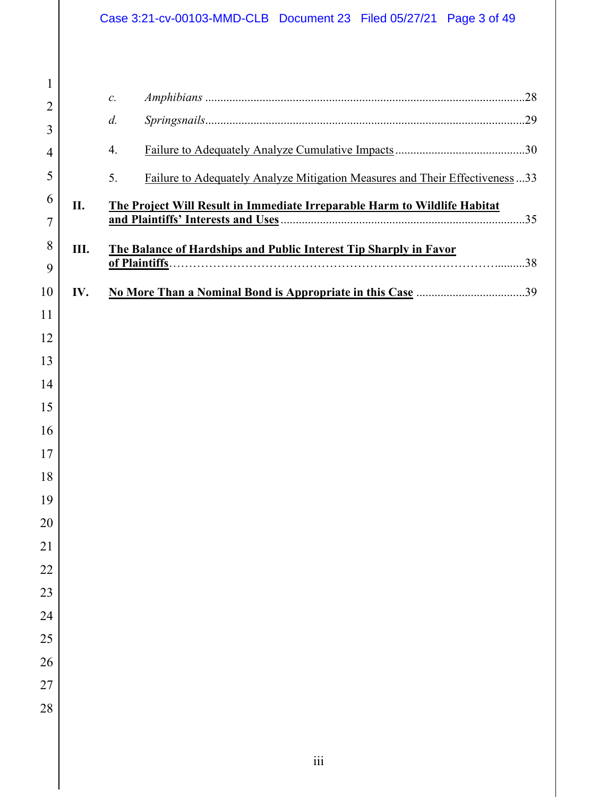# Case 3:21-cv-00103-MMD-CLB Document 23 Filed 05/27/21 Page 3 of 49

| $\mathbf{1}$    |     |                                                                                   |
|-----------------|-----|-----------------------------------------------------------------------------------|
| $\overline{2}$  |     | $\mathcal{C}.$                                                                    |
| 3               |     | $d$ .                                                                             |
| 4               |     | 4.                                                                                |
| 5               |     | 5.<br>Failure to Adequately Analyze Mitigation Measures and Their Effectiveness33 |
| 6               | II. | The Project Will Result in Immediate Irreparable Harm to Wildlife Habitat         |
| 7               |     |                                                                                   |
| 8               | Ш.  | The Balance of Hardships and Public Interest Tip Sharply in Favor                 |
| 9               |     |                                                                                   |
| 10              | IV. |                                                                                   |
| 11              |     |                                                                                   |
| 12              |     |                                                                                   |
| 13              |     |                                                                                   |
| 14              |     |                                                                                   |
| 15              |     |                                                                                   |
| 16              |     |                                                                                   |
| 17              |     |                                                                                   |
| 18              |     |                                                                                   |
| 19              |     |                                                                                   |
| 20              |     |                                                                                   |
| $\overline{21}$ |     |                                                                                   |
| $\overline{22}$ |     |                                                                                   |
| 23              |     |                                                                                   |
| 24              |     |                                                                                   |
| 25              |     |                                                                                   |
| 26              |     |                                                                                   |
| 27              |     |                                                                                   |
| 28              |     |                                                                                   |
|                 |     |                                                                                   |
|                 |     |                                                                                   |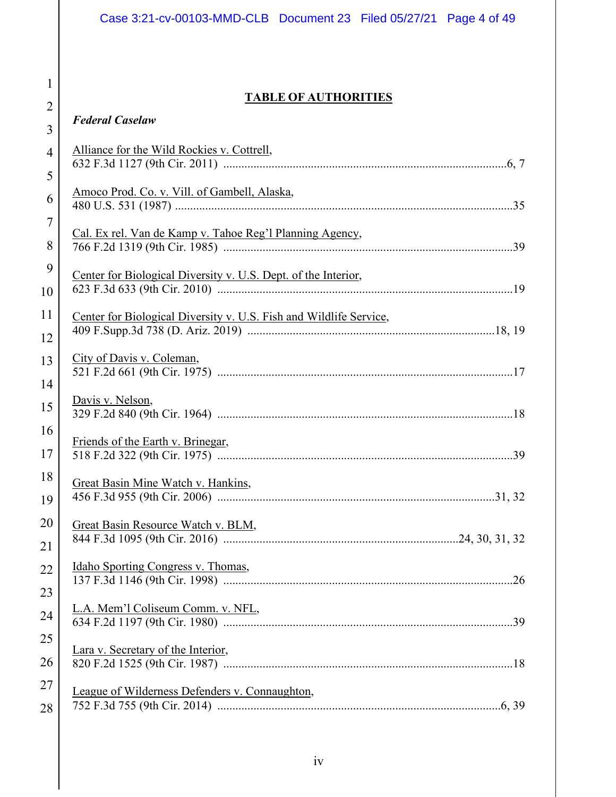# **TABLE OF AUTHORITIES**

1

2

| 3              | <b>Federal Caselaw</b>                                             |  |
|----------------|--------------------------------------------------------------------|--|
| $\overline{4}$ | Alliance for the Wild Rockies v. Cottrell,                         |  |
| 5              |                                                                    |  |
| 6              | Amoco Prod. Co. v. Vill. of Gambell, Alaska,                       |  |
| $\overline{7}$ |                                                                    |  |
| 8              | Cal. Ex rel. Van de Kamp v. Tahoe Reg'l Planning Agency,           |  |
| 9              | Center for Biological Diversity v. U.S. Dept. of the Interior,     |  |
| 10             |                                                                    |  |
| 11             | Center for Biological Diversity v. U.S. Fish and Wildlife Service, |  |
| 12             |                                                                    |  |
| 13             | City of Davis v. Coleman,                                          |  |
| 14             |                                                                    |  |
| 15             | Davis v. Nelson,                                                   |  |
| 16             | Friends of the Earth v. Brinegar,                                  |  |
| 17             |                                                                    |  |
| 18             | Great Basin Mine Watch v. Hankins,                                 |  |
| 19             |                                                                    |  |
| 20             | Great Basin Resource Watch v. BLM,                                 |  |
| 21             |                                                                    |  |
| 22             | <u>Idaho Sporting Congress v. Thomas,</u>                          |  |
| 23             |                                                                    |  |
| 24             | L.A. Mem'l Coliseum Comm. v. NFL,                                  |  |
| 25             |                                                                    |  |
| 26             | Lara v. Secretary of the Interior,                                 |  |
| 27             | League of Wilderness Defenders v. Connaughton,                     |  |
| 28             |                                                                    |  |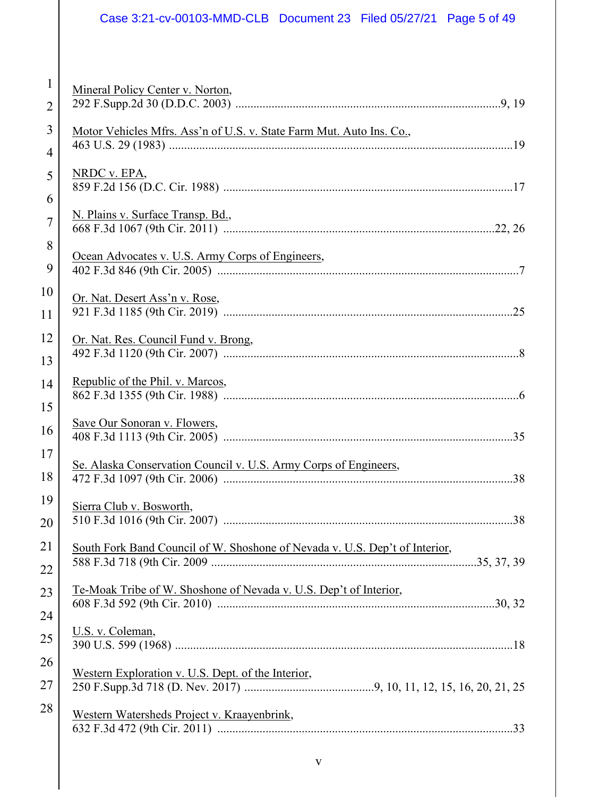# Case 3:21-cv-00103-MMD-CLB Document 23 Filed 05/27/21 Page 5 of 49

| $\mathbf{1}$   | Mineral Policy Center v. Norton,                                            |
|----------------|-----------------------------------------------------------------------------|
| $\overline{2}$ |                                                                             |
| 3              | Motor Vehicles Mfrs. Ass'n of U.S. v. State Farm Mut. Auto Ins. Co.,        |
| $\overline{4}$ |                                                                             |
| 5              | NRDC v. EPA,                                                                |
| 6              |                                                                             |
| $\overline{7}$ | N. Plains v. Surface Transp. Bd.,                                           |
| 8              |                                                                             |
| 9              | Ocean Advocates v. U.S. Army Corps of Engineers,                            |
| 10             | Or. Nat. Desert Ass'n v. Rose,                                              |
| 11             |                                                                             |
| 12             | Or. Nat. Res. Council Fund v. Brong,                                        |
| 13             |                                                                             |
| 14             | Republic of the Phil. v. Marcos,                                            |
| 15             |                                                                             |
| 16             | Save Our Sonoran v. Flowers,                                                |
| 17             |                                                                             |
| 18             | Se. Alaska Conservation Council v. U.S. Army Corps of Engineers,            |
| 19             | Sierra Club v. Bosworth,                                                    |
| 20             |                                                                             |
| 21             | South Fork Band Council of W. Shoshone of Nevada v. U.S. Dep't of Interior, |
| 22             |                                                                             |
| 23             | Te-Moak Tribe of W. Shoshone of Nevada v. U.S. Dep't of Interior,           |
| 24             |                                                                             |
| 25             | U.S. v. Coleman,                                                            |
| 26             | Western Exploration v. U.S. Dept. of the Interior,                          |
| 27             |                                                                             |
| 28             | Western Watersheds Project v. Kraayenbrink,                                 |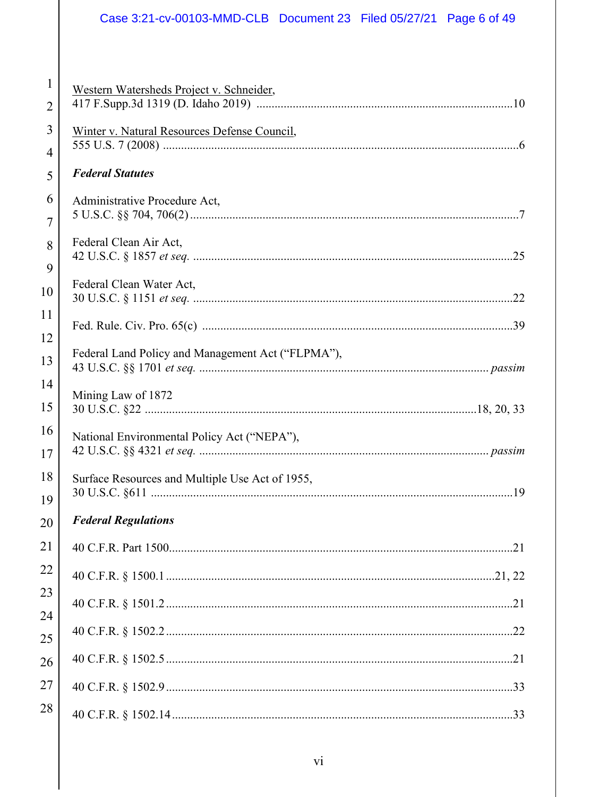# Case 3:21-cv-00103-MMD-CLB Document 23 Filed 05/27/21 Page 6 of 49

| $\mathbf{1}$   |                                                   |  |
|----------------|---------------------------------------------------|--|
| $\overline{2}$ | Western Watersheds Project v. Schneider,          |  |
| 3              | Winter v. Natural Resources Defense Council,      |  |
| $\overline{4}$ |                                                   |  |
| 5              | <b>Federal Statutes</b>                           |  |
| 6              | Administrative Procedure Act,                     |  |
| $\overline{7}$ |                                                   |  |
| 8              | Federal Clean Air Act,                            |  |
| 9              |                                                   |  |
| 10             | Federal Clean Water Act,                          |  |
| 11             |                                                   |  |
| 12             |                                                   |  |
| 13             | Federal Land Policy and Management Act ("FLPMA"), |  |
| 14             | Mining Law of 1872                                |  |
|                |                                                   |  |
| 15             |                                                   |  |
| 16             | National Environmental Policy Act ("NEPA"),       |  |
| 17             |                                                   |  |
| 18             | Surface Resources and Multiple Use Act of 1955,   |  |
| 19             |                                                   |  |
| 20             | <b>Federal Regulations</b>                        |  |
| 21             |                                                   |  |
| 22             |                                                   |  |
| 23             |                                                   |  |
| 24             |                                                   |  |
| 25             |                                                   |  |
| 26             |                                                   |  |
| 27             |                                                   |  |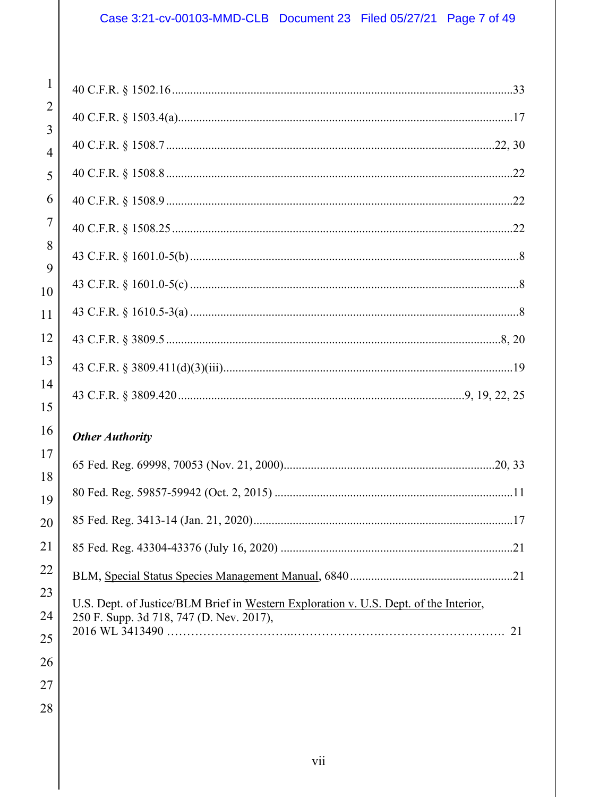# Case 3:21-cv-00103-MMD-CLB Document 23 Filed 05/27/21 Page 7 of 49

| $\mathbf{1}$                     |                                                                                       |
|----------------------------------|---------------------------------------------------------------------------------------|
| $\overline{2}$<br>$\overline{3}$ |                                                                                       |
| $\overline{4}$                   |                                                                                       |
| 5                                |                                                                                       |
| 6                                |                                                                                       |
| 7                                |                                                                                       |
| 8                                |                                                                                       |
| 9                                |                                                                                       |
| 10<br>11                         |                                                                                       |
| 12                               |                                                                                       |
| 13                               |                                                                                       |
| 14                               |                                                                                       |
| 15                               |                                                                                       |
| 16                               | <b>Other Authority</b>                                                                |
| 17                               |                                                                                       |
| 18                               |                                                                                       |
| 19                               |                                                                                       |
| 20                               |                                                                                       |
| 21                               |                                                                                       |
| 22                               |                                                                                       |
| 23                               | U.S. Dept. of Justice/BLM Brief in Western Exploration v. U.S. Dept. of the Interior, |
| 24                               | 250 F. Supp. 3d 718, 747 (D. Nev. 2017),                                              |
| 25                               |                                                                                       |
| 26                               |                                                                                       |
| 27                               |                                                                                       |
| 28                               |                                                                                       |
|                                  |                                                                                       |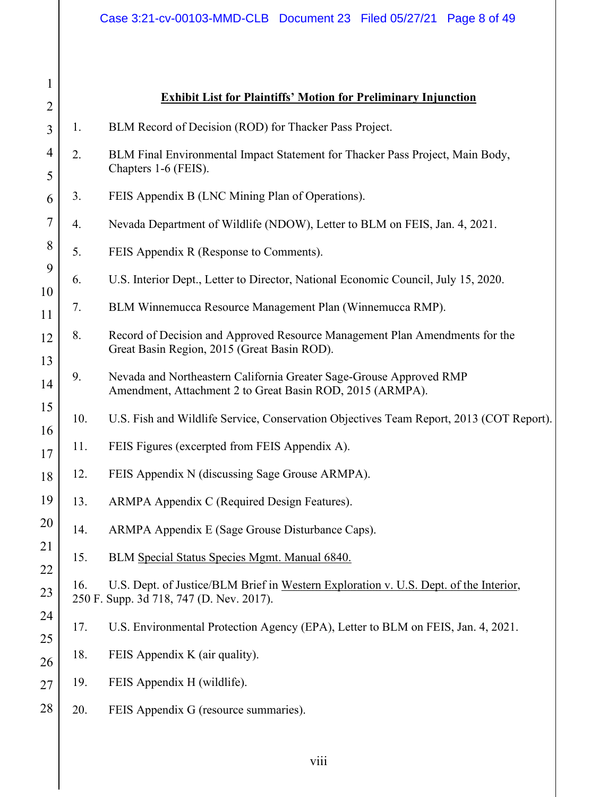| $\mathbf{1}$<br>$\overline{2}$ |     | <b>Exhibit List for Plaintiffs' Motion for Preliminary Injunction</b>                                                             |
|--------------------------------|-----|-----------------------------------------------------------------------------------------------------------------------------------|
| 3                              | 1.  | BLM Record of Decision (ROD) for Thacker Pass Project.                                                                            |
| $\overline{4}$<br>5            | 2.  | BLM Final Environmental Impact Statement for Thacker Pass Project, Main Body,<br>Chapters 1-6 (FEIS).                             |
| 6                              | 3.  | FEIS Appendix B (LNC Mining Plan of Operations).                                                                                  |
| $\overline{7}$                 | 4.  | Nevada Department of Wildlife (NDOW), Letter to BLM on FEIS, Jan. 4, 2021.                                                        |
| 8                              | 5.  | FEIS Appendix R (Response to Comments).                                                                                           |
| 9                              | 6.  | U.S. Interior Dept., Letter to Director, National Economic Council, July 15, 2020.                                                |
| 10<br>11                       | 7.  | BLM Winnemucca Resource Management Plan (Winnemucca RMP).                                                                         |
| 12<br>13                       | 8.  | Record of Decision and Approved Resource Management Plan Amendments for the<br>Great Basin Region, 2015 (Great Basin ROD).        |
| 14                             | 9.  | Nevada and Northeastern California Greater Sage-Grouse Approved RMP<br>Amendment, Attachment 2 to Great Basin ROD, 2015 (ARMPA).  |
| 15                             | 10. | U.S. Fish and Wildlife Service, Conservation Objectives Team Report, 2013 (COT Report).                                           |
| 16<br>17                       | 11. | FEIS Figures (excerpted from FEIS Appendix A).                                                                                    |
| 18                             | 12. | FEIS Appendix N (discussing Sage Grouse ARMPA).                                                                                   |
| 19                             | 13. | ARMPA Appendix C (Required Design Features).                                                                                      |
| 20                             | 14. | ARMPA Appendix E (Sage Grouse Disturbance Caps).                                                                                  |
| 21                             | 15. | BLM Special Status Species Mgmt. Manual 6840.                                                                                     |
| 22<br>23                       | 16. | U.S. Dept. of Justice/BLM Brief in Western Exploration v. U.S. Dept. of the Interior,<br>250 F. Supp. 3d 718, 747 (D. Nev. 2017). |
| 24                             | 17. | U.S. Environmental Protection Agency (EPA), Letter to BLM on FEIS, Jan. 4, 2021.                                                  |
| 25<br>26                       | 18. | FEIS Appendix K (air quality).                                                                                                    |
| 27                             | 19. | FEIS Appendix H (wildlife).                                                                                                       |
| 28                             | 20. | FEIS Appendix G (resource summaries).                                                                                             |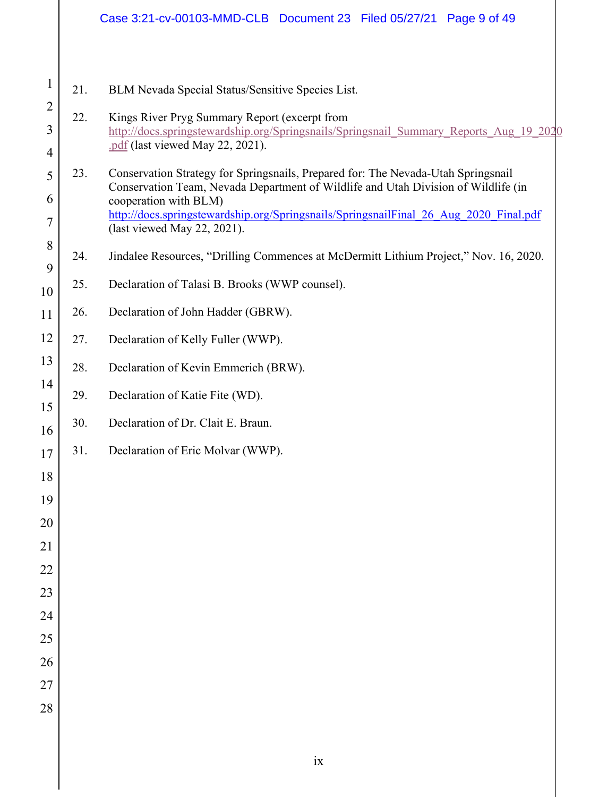# Case 3:21-cv-00103-MMD-CLB Document 23 Filed 05/27/21 Page 9 of 49

21. BLM Nevada Special Status/Sensitive Species List.

1

2

3

4

18

19

20

21

22

23

24

25

26

27

28

- 22. Kings River Pryg Summary Report (excerpt from http://docs.springstewardship.org/Springsnails/Springsnail\_Summary\_Reports\_Aug\_19\_2020 .pdf (last viewed May 22, 2021).
- 5 6 7 23. Conservation Strategy for Springsnails, Prepared for: The Nevada-Utah Springsnail Conservation Team, Nevada Department of Wildlife and Utah Division of Wildlife (in cooperation with BLM) http://docs.springstewardship.org/Springsnails/SpringsnailFinal\_26\_Aug\_2020\_Final.pdf (last viewed May 22, 2021).
- 8 9 24. Jindalee Resources, "Drilling Commences at McDermitt Lithium Project," Nov. 16, 2020.
- 10 25. Declaration of Talasi B. Brooks (WWP counsel).
- 11 26. Declaration of John Hadder (GBRW).
- 12 27. Declaration of Kelly Fuller (WWP).
- 13 28. Declaration of Kevin Emmerich (BRW).
- 14 15 29. Declaration of Katie Fite (WD).
- 16 30. Declaration of Dr. Clait E. Braun.
- 17 31. Declaration of Eric Molvar (WWP).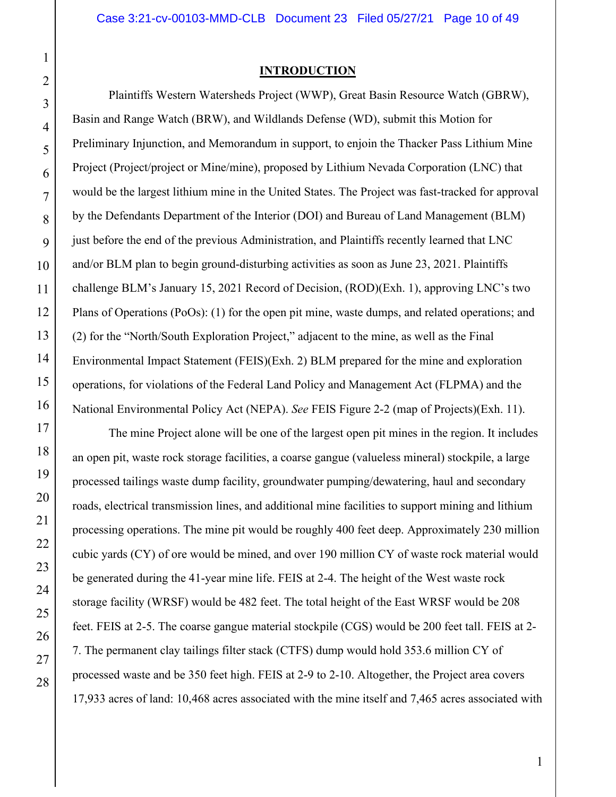# 1 2

3

4

5

6

7

8

9

10

11

12

13

14

15

16

17

18

19

20

21

22

23

24

25

26

27

28

## **INTRODUCTION**

Plaintiffs Western Watersheds Project (WWP), Great Basin Resource Watch (GBRW), Basin and Range Watch (BRW), and Wildlands Defense (WD), submit this Motion for Preliminary Injunction, and Memorandum in support, to enjoin the Thacker Pass Lithium Mine Project (Project/project or Mine/mine), proposed by Lithium Nevada Corporation (LNC) that would be the largest lithium mine in the United States. The Project was fast-tracked for approval by the Defendants Department of the Interior (DOI) and Bureau of Land Management (BLM) just before the end of the previous Administration, and Plaintiffs recently learned that LNC and/or BLM plan to begin ground-disturbing activities as soon as June 23, 2021. Plaintiffs challenge BLM's January 15, 2021 Record of Decision, (ROD)(Exh. 1), approving LNC's two Plans of Operations (PoOs): (1) for the open pit mine, waste dumps, and related operations; and (2) for the "North/South Exploration Project," adjacent to the mine, as well as the Final Environmental Impact Statement (FEIS)(Exh. 2) BLM prepared for the mine and exploration operations, for violations of the Federal Land Policy and Management Act (FLPMA) and the National Environmental Policy Act (NEPA). *See* FEIS Figure 2-2 (map of Projects)(Exh. 11).

The mine Project alone will be one of the largest open pit mines in the region. It includes an open pit, waste rock storage facilities, a coarse gangue (valueless mineral) stockpile, a large processed tailings waste dump facility, groundwater pumping/dewatering, haul and secondary roads, electrical transmission lines, and additional mine facilities to support mining and lithium processing operations. The mine pit would be roughly 400 feet deep. Approximately 230 million cubic yards (CY) of ore would be mined, and over 190 million CY of waste rock material would be generated during the 41-year mine life. FEIS at 2-4. The height of the West waste rock storage facility (WRSF) would be 482 feet. The total height of the East WRSF would be 208 feet. FEIS at 2-5. The coarse gangue material stockpile (CGS) would be 200 feet tall. FEIS at 2- 7. The permanent clay tailings filter stack (CTFS) dump would hold 353.6 million CY of processed waste and be 350 feet high. FEIS at 2-9 to 2-10. Altogether, the Project area covers 17,933 acres of land: 10,468 acres associated with the mine itself and 7,465 acres associated with

1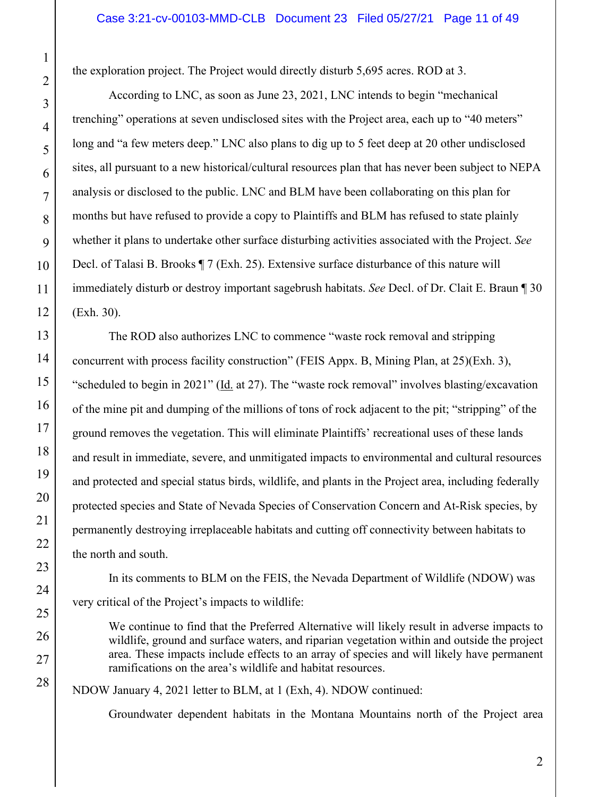the exploration project. The Project would directly disturb 5,695 acres. ROD at 3.

 According to LNC, as soon as June 23, 2021, LNC intends to begin "mechanical trenching" operations at seven undisclosed sites with the Project area, each up to "40 meters" long and "a few meters deep." LNC also plans to dig up to 5 feet deep at 20 other undisclosed sites, all pursuant to a new historical/cultural resources plan that has never been subject to NEPA analysis or disclosed to the public. LNC and BLM have been collaborating on this plan for months but have refused to provide a copy to Plaintiffs and BLM has refused to state plainly whether it plans to undertake other surface disturbing activities associated with the Project. *See* Decl. of Talasi B. Brooks ¶ 7 (Exh. 25). Extensive surface disturbance of this nature will immediately disturb or destroy important sagebrush habitats. *See* Decl. of Dr. Clait E. Braun ¶ 30 (Exh. 30).

 The ROD also authorizes LNC to commence "waste rock removal and stripping concurrent with process facility construction" (FEIS Appx. B, Mining Plan, at 25)(Exh. 3), "scheduled to begin in 2021" (Id. at 27). The "waste rock removal" involves blasting/excavation of the mine pit and dumping of the millions of tons of rock adjacent to the pit; "stripping" of the ground removes the vegetation. This will eliminate Plaintiffs' recreational uses of these lands and result in immediate, severe, and unmitigated impacts to environmental and cultural resources and protected and special status birds, wildlife, and plants in the Project area, including federally protected species and State of Nevada Species of Conservation Concern and At-Risk species, by permanently destroying irreplaceable habitats and cutting off connectivity between habitats to the north and south.

 In its comments to BLM on the FEIS, the Nevada Department of Wildlife (NDOW) was very critical of the Project's impacts to wildlife:

We continue to find that the Preferred Alternative will likely result in adverse impacts to wildlife, ground and surface waters, and riparian vegetation within and outside the project area. These impacts include effects to an array of species and will likely have permanent ramifications on the area's wildlife and habitat resources.

NDOW January 4, 2021 letter to BLM, at 1 (Exh, 4). NDOW continued:

Groundwater dependent habitats in the Montana Mountains north of the Project area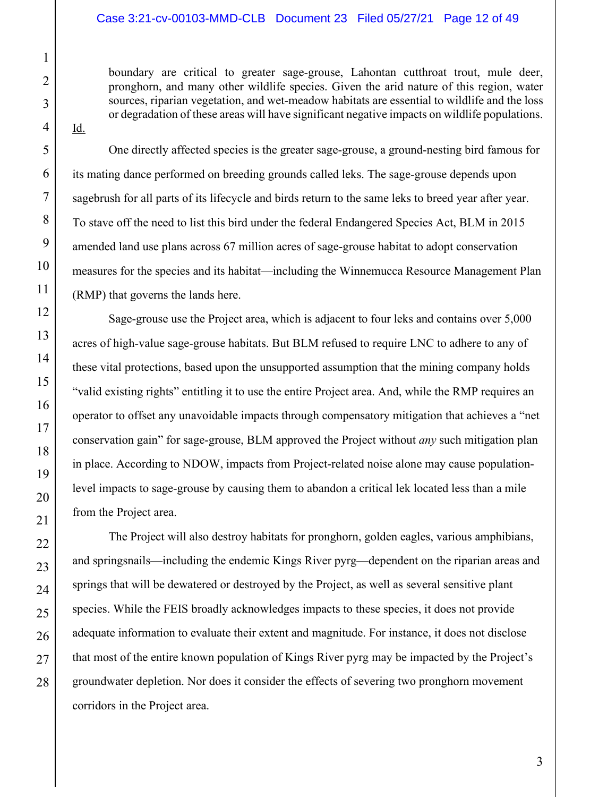#### Case 3:21-cv-00103-MMD-CLB Document 23 Filed 05/27/21 Page 12 of 49

boundary are critical to greater sage-grouse, Lahontan cutthroat trout, mule deer, pronghorn, and many other wildlife species. Given the arid nature of this region, water sources, riparian vegetation, and wet-meadow habitats are essential to wildlife and the loss or degradation of these areas will have significant negative impacts on wildlife populations.

Id.

One directly affected species is the greater sage-grouse, a ground-nesting bird famous for its mating dance performed on breeding grounds called leks. The sage-grouse depends upon sagebrush for all parts of its lifecycle and birds return to the same leks to breed year after year. To stave off the need to list this bird under the federal Endangered Species Act, BLM in 2015 amended land use plans across 67 million acres of sage-grouse habitat to adopt conservation measures for the species and its habitat—including the Winnemucca Resource Management Plan (RMP) that governs the lands here.

Sage-grouse use the Project area, which is adjacent to four leks and contains over 5,000 acres of high-value sage-grouse habitats. But BLM refused to require LNC to adhere to any of these vital protections, based upon the unsupported assumption that the mining company holds "valid existing rights" entitling it to use the entire Project area. And, while the RMP requires an operator to offset any unavoidable impacts through compensatory mitigation that achieves a "net conservation gain" for sage-grouse, BLM approved the Project without *any* such mitigation plan in place. According to NDOW, impacts from Project-related noise alone may cause populationlevel impacts to sage-grouse by causing them to abandon a critical lek located less than a mile from the Project area.

The Project will also destroy habitats for pronghorn, golden eagles, various amphibians, and springsnails—including the endemic Kings River pyrg—dependent on the riparian areas and springs that will be dewatered or destroyed by the Project, as well as several sensitive plant species. While the FEIS broadly acknowledges impacts to these species, it does not provide adequate information to evaluate their extent and magnitude. For instance, it does not disclose that most of the entire known population of Kings River pyrg may be impacted by the Project's groundwater depletion. Nor does it consider the effects of severing two pronghorn movement corridors in the Project area.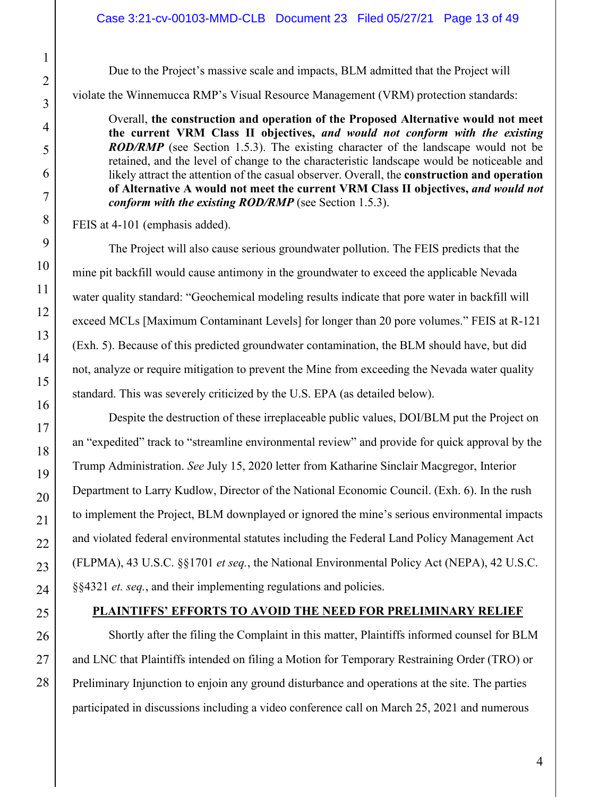Due to the Project's massive scale and impacts, BLM admitted that the Project will

violate the Winnemucca RMP's Visual Resource Management (VRM) protection standards:

Overall, **the construction and operation of the Proposed Alternative would not meet the current VRM Class II objectives,** *and would not conform with the existing ROD/RMP* (see Section 1.5.3). The existing character of the landscape would not be retained, and the level of change to the characteristic landscape would be noticeable and likely attract the attention of the casual observer. Overall, the **construction and operation of Alternative A would not meet the current VRM Class II objectives,** *and would not conform with the existing ROD/RMP* (see Section 1.5.3).

FEIS at 4-101 (emphasis added).

The Project will also cause serious groundwater pollution. The FEIS predicts that the mine pit backfill would cause antimony in the groundwater to exceed the applicable Nevada water quality standard: "Geochemical modeling results indicate that pore water in backfill will exceed MCLs [Maximum Contaminant Levels] for longer than 20 pore volumes." FEIS at R-121 (Exh. 5). Because of this predicted groundwater contamination, the BLM should have, but did not, analyze or require mitigation to prevent the Mine from exceeding the Nevada water quality standard. This was severely criticized by the U.S. EPA (as detailed below).

Despite the destruction of these irreplaceable public values, DOI/BLM put the Project on an "expedited" track to "streamline environmental review" and provide for quick approval by the Trump Administration. *See* July 15, 2020 letter from Katharine Sinclair Macgregor, Interior Department to Larry Kudlow, Director of the National Economic Council. (Exh. 6). In the rush to implement the Project, BLM downplayed or ignored the mine's serious environmental impacts and violated federal environmental statutes including the Federal Land Policy Management Act (FLPMA), 43 U.S.C. §§1701 *et seq.*, the National Environmental Policy Act (NEPA), 42 U.S.C. §§4321 *et. seq.*, and their implementing regulations and policies.

# **PLAINTIFFS' EFFORTS TO AVOID THE NEED FOR PRELIMINARY RELIEF**

Shortly after the filing the Complaint in this matter, Plaintiffs informed counsel for BLM and LNC that Plaintiffs intended on filing a Motion for Temporary Restraining Order (TRO) or Preliminary Injunction to enjoin any ground disturbance and operations at the site. The parties participated in discussions including a video conference call on March 25, 2021 and numerous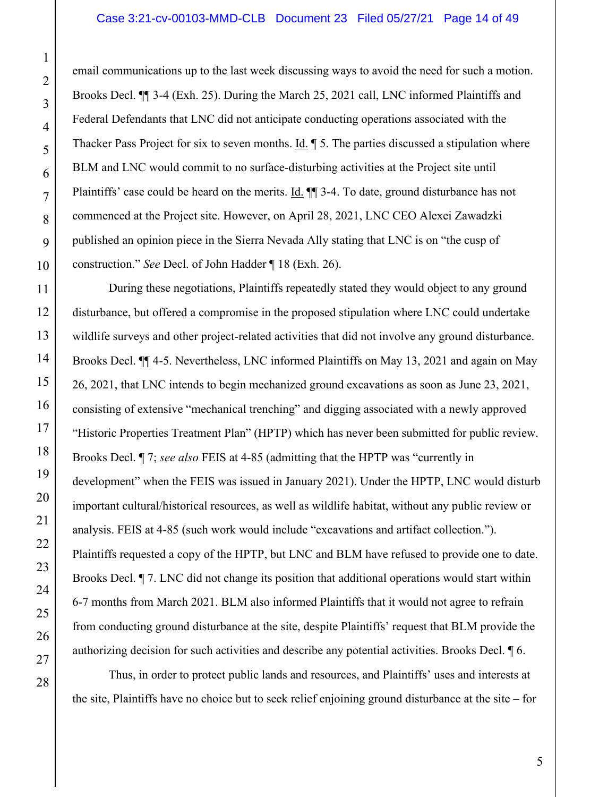email communications up to the last week discussing ways to avoid the need for such a motion. Brooks Decl. ¶¶ 3-4 (Exh. 25). During the March 25, 2021 call, LNC informed Plaintiffs and Federal Defendants that LNC did not anticipate conducting operations associated with the Thacker Pass Project for six to seven months. Id. ¶ 5. The parties discussed a stipulation where BLM and LNC would commit to no surface-disturbing activities at the Project site until Plaintiffs' case could be heard on the merits. Id. ¶¶ 3-4. To date, ground disturbance has not commenced at the Project site. However, on April 28, 2021, LNC CEO Alexei Zawadzki published an opinion piece in the Sierra Nevada Ally stating that LNC is on "the cusp of construction." *See* Decl. of John Hadder ¶ 18 (Exh. 26).

During these negotiations, Plaintiffs repeatedly stated they would object to any ground disturbance, but offered a compromise in the proposed stipulation where LNC could undertake wildlife surveys and other project-related activities that did not involve any ground disturbance. Brooks Decl. ¶¶ 4-5. Nevertheless, LNC informed Plaintiffs on May 13, 2021 and again on May 26, 2021, that LNC intends to begin mechanized ground excavations as soon as June 23, 2021, consisting of extensive "mechanical trenching" and digging associated with a newly approved "Historic Properties Treatment Plan" (HPTP) which has never been submitted for public review. Brooks Decl. ¶ 7; *see also* FEIS at 4-85 (admitting that the HPTP was "currently in development" when the FEIS was issued in January 2021). Under the HPTP, LNC would disturb important cultural/historical resources, as well as wildlife habitat, without any public review or analysis. FEIS at 4-85 (such work would include "excavations and artifact collection."). Plaintiffs requested a copy of the HPTP, but LNC and BLM have refused to provide one to date. Brooks Decl. ¶ 7. LNC did not change its position that additional operations would start within 6-7 months from March 2021. BLM also informed Plaintiffs that it would not agree to refrain from conducting ground disturbance at the site, despite Plaintiffs' request that BLM provide the authorizing decision for such activities and describe any potential activities. Brooks Decl. ¶ 6.

Thus, in order to protect public lands and resources, and Plaintiffs' uses and interests at the site, Plaintiffs have no choice but to seek relief enjoining ground disturbance at the site – for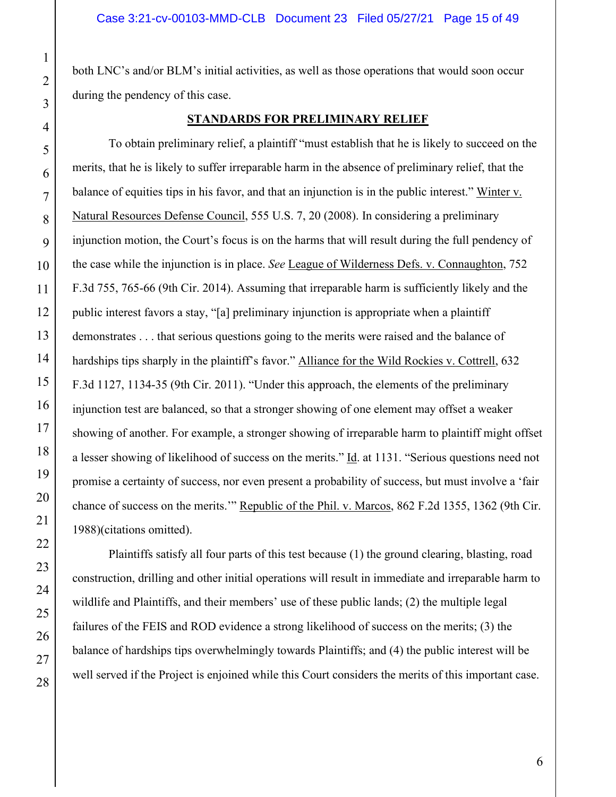both LNC's and/or BLM's initial activities, as well as those operations that would soon occur during the pendency of this case.

#### **STANDARDS FOR PRELIMINARY RELIEF**

To obtain preliminary relief, a plaintiff "must establish that he is likely to succeed on the merits, that he is likely to suffer irreparable harm in the absence of preliminary relief, that the balance of equities tips in his favor, and that an injunction is in the public interest." Winter v. Natural Resources Defense Council, 555 U.S. 7, 20 (2008). In considering a preliminary injunction motion, the Court's focus is on the harms that will result during the full pendency of the case while the injunction is in place. *See* League of Wilderness Defs. v. Connaughton, 752 F.3d 755, 765-66 (9th Cir. 2014). Assuming that irreparable harm is sufficiently likely and the public interest favors a stay, "[a] preliminary injunction is appropriate when a plaintiff demonstrates . . . that serious questions going to the merits were raised and the balance of hardships tips sharply in the plaintiff's favor." Alliance for the Wild Rockies v. Cottrell, 632 F.3d 1127, 1134-35 (9th Cir. 2011). "Under this approach, the elements of the preliminary injunction test are balanced, so that a stronger showing of one element may offset a weaker showing of another. For example, a stronger showing of irreparable harm to plaintiff might offset a lesser showing of likelihood of success on the merits." Id. at 1131. "Serious questions need not promise a certainty of success, nor even present a probability of success, but must involve a 'fair chance of success on the merits.'" Republic of the Phil. v. Marcos, 862 F.2d 1355, 1362 (9th Cir. 1988)(citations omitted).

Plaintiffs satisfy all four parts of this test because (1) the ground clearing, blasting, road construction, drilling and other initial operations will result in immediate and irreparable harm to wildlife and Plaintiffs, and their members' use of these public lands; (2) the multiple legal failures of the FEIS and ROD evidence a strong likelihood of success on the merits; (3) the balance of hardships tips overwhelmingly towards Plaintiffs; and (4) the public interest will be well served if the Project is enjoined while this Court considers the merits of this important case.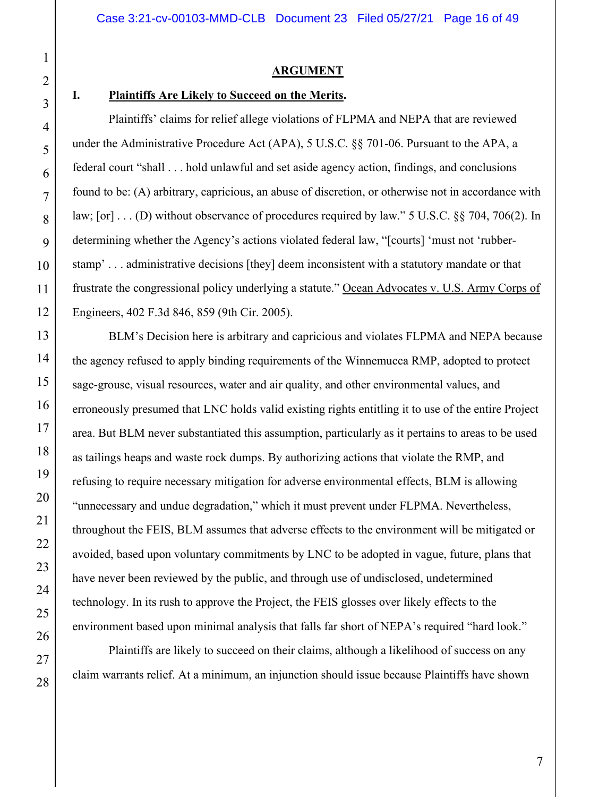# **ARGUMENT**

## **I. Plaintiffs Are Likely to Succeed on the Merits.**

Plaintiffs' claims for relief allege violations of FLPMA and NEPA that are reviewed under the Administrative Procedure Act (APA), 5 U.S.C. §§ 701-06. Pursuant to the APA, a federal court "shall . . . hold unlawful and set aside agency action, findings, and conclusions found to be: (A) arbitrary, capricious, an abuse of discretion, or otherwise not in accordance with law; [or] . . . (D) without observance of procedures required by law." 5 U.S.C. §§ 704, 706(2). In determining whether the Agency's actions violated federal law, "[courts] 'must not 'rubberstamp' . . . administrative decisions [they] deem inconsistent with a statutory mandate or that frustrate the congressional policy underlying a statute." Ocean Advocates v. U.S. Army Corps of Engineers, 402 F.3d 846, 859 (9th Cir. 2005).

BLM's Decision here is arbitrary and capricious and violates FLPMA and NEPA because the agency refused to apply binding requirements of the Winnemucca RMP, adopted to protect sage-grouse, visual resources, water and air quality, and other environmental values, and erroneously presumed that LNC holds valid existing rights entitling it to use of the entire Project area. But BLM never substantiated this assumption, particularly as it pertains to areas to be used as tailings heaps and waste rock dumps. By authorizing actions that violate the RMP, and refusing to require necessary mitigation for adverse environmental effects, BLM is allowing "unnecessary and undue degradation," which it must prevent under FLPMA. Nevertheless, throughout the FEIS, BLM assumes that adverse effects to the environment will be mitigated or avoided, based upon voluntary commitments by LNC to be adopted in vague, future, plans that have never been reviewed by the public, and through use of undisclosed, undetermined technology. In its rush to approve the Project, the FEIS glosses over likely effects to the environment based upon minimal analysis that falls far short of NEPA's required "hard look."

Plaintiffs are likely to succeed on their claims, although a likelihood of success on any claim warrants relief. At a minimum, an injunction should issue because Plaintiffs have shown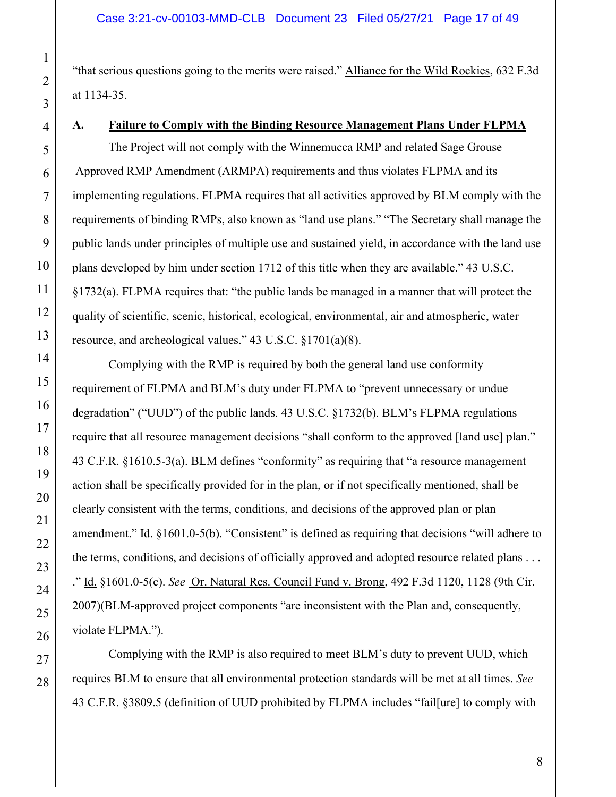"that serious questions going to the merits were raised." Alliance for the Wild Rockies, 632 F.3d at 1134-35.

## **A. Failure to Comply with the Binding Resource Management Plans Under FLPMA**

The Project will not comply with the Winnemucca RMP and related Sage Grouse Approved RMP Amendment (ARMPA) requirements and thus violates FLPMA and its implementing regulations. FLPMA requires that all activities approved by BLM comply with the requirements of binding RMPs, also known as "land use plans." "The Secretary shall manage the public lands under principles of multiple use and sustained yield, in accordance with the land use plans developed by him under section 1712 of this title when they are available." 43 U.S.C. §1732(a). FLPMA requires that: "the public lands be managed in a manner that will protect the quality of scientific, scenic, historical, ecological, environmental, air and atmospheric, water resource, and archeological values." 43 U.S.C. §1701(a)(8).

 Complying with the RMP is required by both the general land use conformity requirement of FLPMA and BLM's duty under FLPMA to "prevent unnecessary or undue degradation" ("UUD") of the public lands. 43 U.S.C. §1732(b). BLM's FLPMA regulations require that all resource management decisions "shall conform to the approved [land use] plan." 43 C.F.R. §1610.5-3(a). BLM defines "conformity" as requiring that "a resource management action shall be specifically provided for in the plan, or if not specifically mentioned, shall be clearly consistent with the terms, conditions, and decisions of the approved plan or plan amendment." Id. §1601.0-5(b). "Consistent" is defined as requiring that decisions "will adhere to the terms, conditions, and decisions of officially approved and adopted resource related plans . . . ." Id. §1601.0-5(c). *See* Or. Natural Res. Council Fund v. Brong, 492 F.3d 1120, 1128 (9th Cir. 2007)(BLM-approved project components "are inconsistent with the Plan and, consequently, violate FLPMA.").

 Complying with the RMP is also required to meet BLM's duty to prevent UUD, which requires BLM to ensure that all environmental protection standards will be met at all times. *See*  43 C.F.R. §3809.5 (definition of UUD prohibited by FLPMA includes "fail[ure] to comply with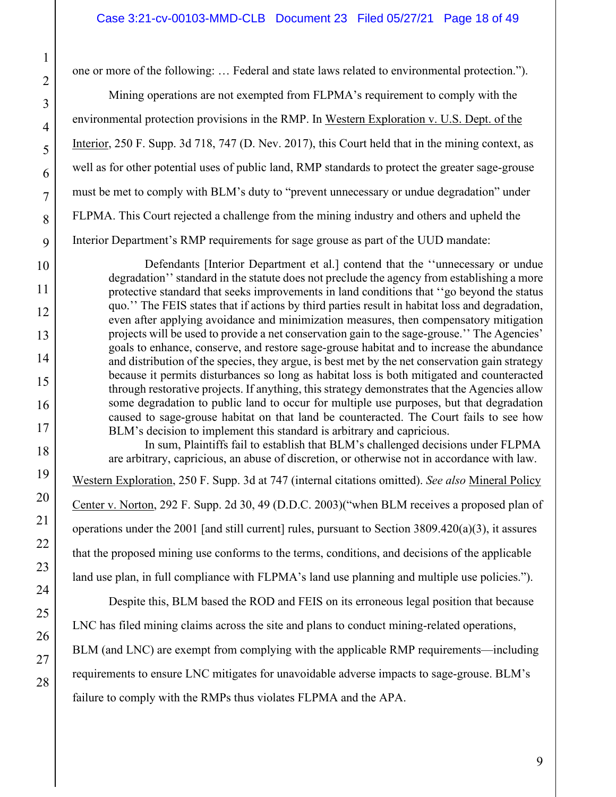one or more of the following: … Federal and state laws related to environmental protection.").

 Mining operations are not exempted from FLPMA's requirement to comply with the environmental protection provisions in the RMP. In Western Exploration v. U.S. Dept. of the Interior, 250 F. Supp. 3d 718, 747 (D. Nev. 2017), this Court held that in the mining context, as well as for other potential uses of public land, RMP standards to protect the greater sage-grouse must be met to comply with BLM's duty to "prevent unnecessary or undue degradation" under FLPMA. This Court rejected a challenge from the mining industry and others and upheld the Interior Department's RMP requirements for sage grouse as part of the UUD mandate:

Defendants [Interior Department et al.] contend that the ''unnecessary or undue degradation'' standard in the statute does not preclude the agency from establishing a more protective standard that seeks improvements in land conditions that ''go beyond the status quo.'' The FEIS states that if actions by third parties result in habitat loss and degradation, even after applying avoidance and minimization measures, then compensatory mitigation projects will be used to provide a net conservation gain to the sage-grouse.'' The Agencies' goals to enhance, conserve, and restore sage-grouse habitat and to increase the abundance and distribution of the species, they argue, is best met by the net conservation gain strategy because it permits disturbances so long as habitat loss is both mitigated and counteracted through restorative projects. If anything, this strategy demonstrates that the Agencies allow some degradation to public land to occur for multiple use purposes, but that degradation caused to sage-grouse habitat on that land be counteracted. The Court fails to see how BLM's decision to implement this standard is arbitrary and capricious.

In sum, Plaintiffs fail to establish that BLM's challenged decisions under FLPMA are arbitrary, capricious, an abuse of discretion, or otherwise not in accordance with law. Western Exploration, 250 F. Supp. 3d at 747 (internal citations omitted). *See also* Mineral Policy Center v. Norton, 292 F. Supp. 2d 30, 49 (D.D.C. 2003)("when BLM receives a proposed plan of operations under the 2001 [and still current] rules, pursuant to Section 3809.420(a)(3), it assures that the proposed mining use conforms to the terms, conditions, and decisions of the applicable land use plan, in full compliance with FLPMA's land use planning and multiple use policies.").

Despite this, BLM based the ROD and FEIS on its erroneous legal position that because LNC has filed mining claims across the site and plans to conduct mining-related operations, BLM (and LNC) are exempt from complying with the applicable RMP requirements—including requirements to ensure LNC mitigates for unavoidable adverse impacts to sage-grouse. BLM's failure to comply with the RMPs thus violates FLPMA and the APA.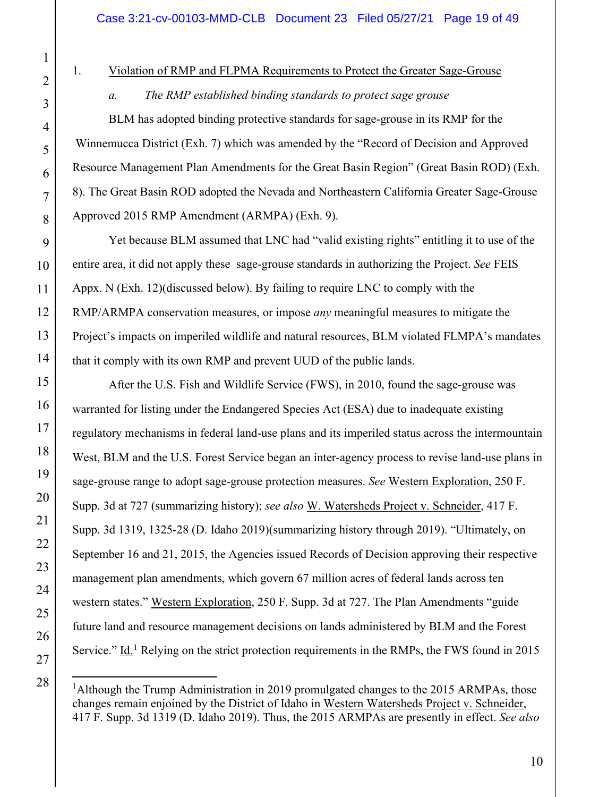28

#### 1. Violation of RMP and FLPMA Requirements to Protect the Greater Sage-Grouse

## *a. The RMP established binding standards to protect sage grouse*

BLM has adopted binding protective standards for sage-grouse in its RMP for the Winnemucca District (Exh. 7) which was amended by the "Record of Decision and Approved Resource Management Plan Amendments for the Great Basin Region" (Great Basin ROD) (Exh. 8). The Great Basin ROD adopted the Nevada and Northeastern California Greater Sage-Grouse Approved 2015 RMP Amendment (ARMPA) (Exh. 9).

Yet because BLM assumed that LNC had "valid existing rights" entitling it to use of the entire area, it did not apply these sage-grouse standards in authorizing the Project. *See* FEIS Appx. N (Exh. 12)(discussed below). By failing to require LNC to comply with the RMP/ARMPA conservation measures, or impose *any* meaningful measures to mitigate the Project's impacts on imperiled wildlife and natural resources, BLM violated FLMPA's mandates that it comply with its own RMP and prevent UUD of the public lands.

 After the U.S. Fish and Wildlife Service (FWS), in 2010, found the sage-grouse was warranted for listing under the Endangered Species Act (ESA) due to inadequate existing regulatory mechanisms in federal land-use plans and its imperiled status across the intermountain West, BLM and the U.S. Forest Service began an inter-agency process to revise land-use plans in sage-grouse range to adopt sage-grouse protection measures. *See* Western Exploration, 250 F. Supp. 3d at 727 (summarizing history); *see also* W. Watersheds Project v. Schneider, 417 F. Supp. 3d 1319, 1325-28 (D. Idaho 2019)(summarizing history through 2019). "Ultimately, on September 16 and 21, 2015, the Agencies issued Records of Decision approving their respective management plan amendments, which govern 67 million acres of federal lands across ten western states." Western Exploration, 250 F. Supp. 3d at 727. The Plan Amendments "guide future land and resource management decisions on lands administered by BLM and the Forest Service." Id.<sup>1</sup> Relying on the strict protection requirements in the RMPs, the FWS found in 2015

<sup>&</sup>lt;sup>1</sup>Although the Trump Administration in 2019 promulgated changes to the 2015 ARMPAs, those changes remain enjoined by the District of Idaho in Western Watersheds Project v. Schneider, 417 F. Supp. 3d 1319 (D. Idaho 2019). Thus, the 2015 ARMPAs are presently in effect. *See also*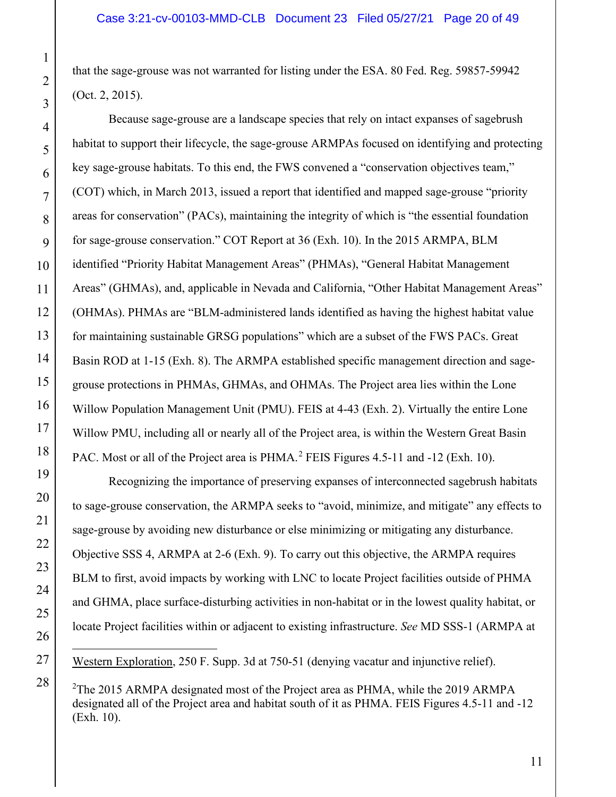that the sage-grouse was not warranted for listing under the ESA. 80 Fed. Reg. 59857-59942 (Oct. 2, 2015).

Because sage-grouse are a landscape species that rely on intact expanses of sagebrush habitat to support their lifecycle, the sage-grouse ARMPAs focused on identifying and protecting key sage-grouse habitats. To this end, the FWS convened a "conservation objectives team," (COT) which, in March 2013, issued a report that identified and mapped sage-grouse "priority areas for conservation" (PACs), maintaining the integrity of which is "the essential foundation for sage-grouse conservation." COT Report at 36 (Exh. 10). In the 2015 ARMPA, BLM identified "Priority Habitat Management Areas" (PHMAs), "General Habitat Management Areas" (GHMAs), and, applicable in Nevada and California, "Other Habitat Management Areas" (OHMAs). PHMAs are "BLM-administered lands identified as having the highest habitat value for maintaining sustainable GRSG populations" which are a subset of the FWS PACs. Great Basin ROD at 1-15 (Exh. 8). The ARMPA established specific management direction and sagegrouse protections in PHMAs, GHMAs, and OHMAs. The Project area lies within the Lone Willow Population Management Unit (PMU). FEIS at 4-43 (Exh. 2). Virtually the entire Lone Willow PMU, including all or nearly all of the Project area, is within the Western Great Basin PAC. Most or all of the Project area is PHMA.<sup>2</sup> FEIS Figures 4.5-11 and -12 (Exh. 10).

 Recognizing the importance of preserving expanses of interconnected sagebrush habitats to sage-grouse conservation, the ARMPA seeks to "avoid, minimize, and mitigate" any effects to sage-grouse by avoiding new disturbance or else minimizing or mitigating any disturbance. Objective SSS 4, ARMPA at 2-6 (Exh. 9). To carry out this objective, the ARMPA requires BLM to first, avoid impacts by working with LNC to locate Project facilities outside of PHMA and GHMA, place surface-disturbing activities in non-habitat or in the lowest quality habitat, or locate Project facilities within or adjacent to existing infrastructure. *See* MD SSS-1 (ARMPA at

Western Exploration, 250 F. Supp. 3d at 750-51 (denying vacatur and injunctive relief).

<sup>&</sup>lt;sup>2</sup>The 2015 ARMPA designated most of the Project area as PHMA, while the 2019 ARMPA designated all of the Project area and habitat south of it as PHMA. FEIS Figures 4.5-11 and -12 (Exh. 10).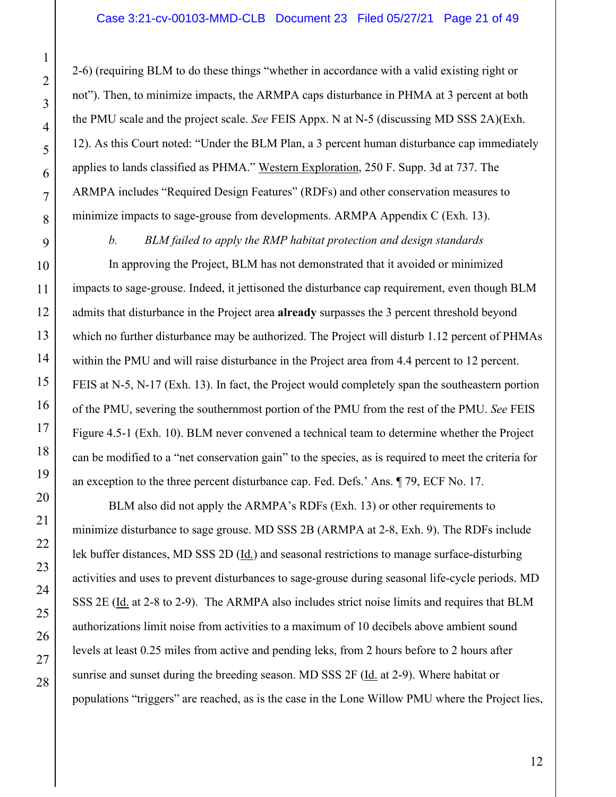2-6) (requiring BLM to do these things "whether in accordance with a valid existing right or not"). Then, to minimize impacts, the ARMPA caps disturbance in PHMA at 3 percent at both the PMU scale and the project scale. *See* FEIS Appx. N at N-5 (discussing MD SSS 2A)(Exh. 12). As this Court noted: "Under the BLM Plan, a 3 percent human disturbance cap immediately applies to lands classified as PHMA." Western Exploration, 250 F. Supp. 3d at 737. The ARMPA includes "Required Design Features" (RDFs) and other conservation measures to minimize impacts to sage-grouse from developments. ARMPA Appendix C (Exh. 13).

 *b. BLM failed to apply the RMP habitat protection and design standards* 

 In approving the Project, BLM has not demonstrated that it avoided or minimized impacts to sage-grouse. Indeed, it jettisoned the disturbance cap requirement, even though BLM admits that disturbance in the Project area **already** surpasses the 3 percent threshold beyond which no further disturbance may be authorized. The Project will disturb 1.12 percent of PHMAs within the PMU and will raise disturbance in the Project area from 4.4 percent to 12 percent. FEIS at N-5, N-17 (Exh. 13). In fact, the Project would completely span the southeastern portion of the PMU, severing the southernmost portion of the PMU from the rest of the PMU. *See* FEIS Figure 4.5-1 (Exh. 10). BLM never convened a technical team to determine whether the Project can be modified to a "net conservation gain" to the species, as is required to meet the criteria for an exception to the three percent disturbance cap. Fed. Defs.' Ans. ¶ 79, ECF No. 17.

 BLM also did not apply the ARMPA's RDFs (Exh. 13) or other requirements to minimize disturbance to sage grouse. MD SSS 2B (ARMPA at 2-8, Exh. 9). The RDFs include lek buffer distances, MD SSS 2D (Id.) and seasonal restrictions to manage surface-disturbing activities and uses to prevent disturbances to sage-grouse during seasonal life-cycle periods. MD SSS 2E (Id. at 2-8 to 2-9). The ARMPA also includes strict noise limits and requires that BLM authorizations limit noise from activities to a maximum of 10 decibels above ambient sound levels at least 0.25 miles from active and pending leks, from 2 hours before to 2 hours after sunrise and sunset during the breeding season. MD SSS 2F (Id. at 2-9). Where habitat or populations "triggers" are reached, as is the case in the Lone Willow PMU where the Project lies,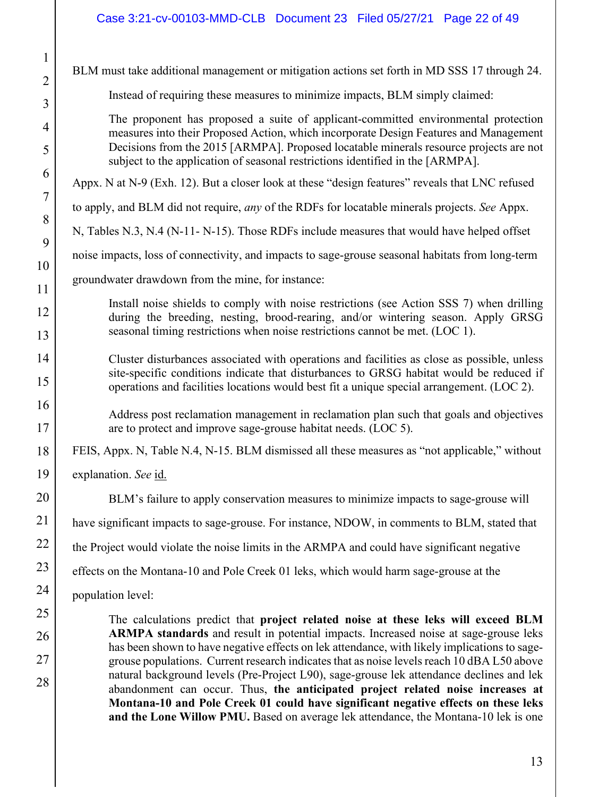| $\overline{c}$ |
|----------------|
| 3              |
| $\overline{4}$ |
| 5              |
| 6              |
| $\overline{7}$ |
| 8              |
| 9              |
| 10             |
| 11             |
| 12             |
| 13             |
| $\frac{1}{4}$  |
| 15             |
| 16             |
| 17             |
| 18             |
| 19             |
| 20             |
|                |
|                |
|                |
| Δ              |
|                |
| $\lambda$      |
|                |
| $^{28}$        |

1

BLM must take additional management or mitigation actions set forth in MD SSS 17 through 24.

Instead of requiring these measures to minimize impacts, BLM simply claimed:

The proponent has proposed a suite of applicant-committed environmental protection measures into their Proposed Action, which incorporate Design Features and Management Decisions from the 2015 [ARMPA]. Proposed locatable minerals resource projects are not subject to the application of seasonal restrictions identified in the [ARMPA].

Appx. N at N-9 (Exh. 12). But a closer look at these "design features" reveals that LNC refused

to apply, and BLM did not require, *any* of the RDFs for locatable minerals projects. *See* Appx.

N, Tables N.3, N.4 (N-11- N-15). Those RDFs include measures that would have helped offset

noise impacts, loss of connectivity, and impacts to sage-grouse seasonal habitats from long-term

groundwater drawdown from the mine, for instance:

Install noise shields to comply with noise restrictions (see Action SSS 7) when drilling during the breeding, nesting, brood-rearing, and/or wintering season. Apply GRSG seasonal timing restrictions when noise restrictions cannot be met. (LOC 1).

Cluster disturbances associated with operations and facilities as close as possible, unless site-specific conditions indicate that disturbances to GRSG habitat would be reduced if operations and facilities locations would best fit a unique special arrangement. (LOC 2).

Address post reclamation management in reclamation plan such that goals and objectives are to protect and improve sage-grouse habitat needs. (LOC 5).

FEIS, Appx. N, Table N.4, N-15. BLM dismissed all these measures as "not applicable," without

explanation. *See* id.

BLM's failure to apply conservation measures to minimize impacts to sage-grouse will

have significant impacts to sage-grouse. For instance, NDOW, in comments to BLM, stated that

the Project would violate the noise limits in the ARMPA and could have significant negative

effects on the Montana-10 and Pole Creek 01 leks, which would harm sage-grouse at the

population level:

The calculations predict that **project related noise at these leks will exceed BLM ARMPA standards** and result in potential impacts. Increased noise at sage-grouse leks has been shown to have negative effects on lek attendance, with likely implications to sagegrouse populations. Current research indicates that as noise levels reach 10 dBA L50 above natural background levels (Pre-Project L90), sage-grouse lek attendance declines and lek abandonment can occur. Thus, **the anticipated project related noise increases at Montana-10 and Pole Creek 01 could have significant negative effects on these leks and the Lone Willow PMU.** Based on average lek attendance, the Montana-10 lek is one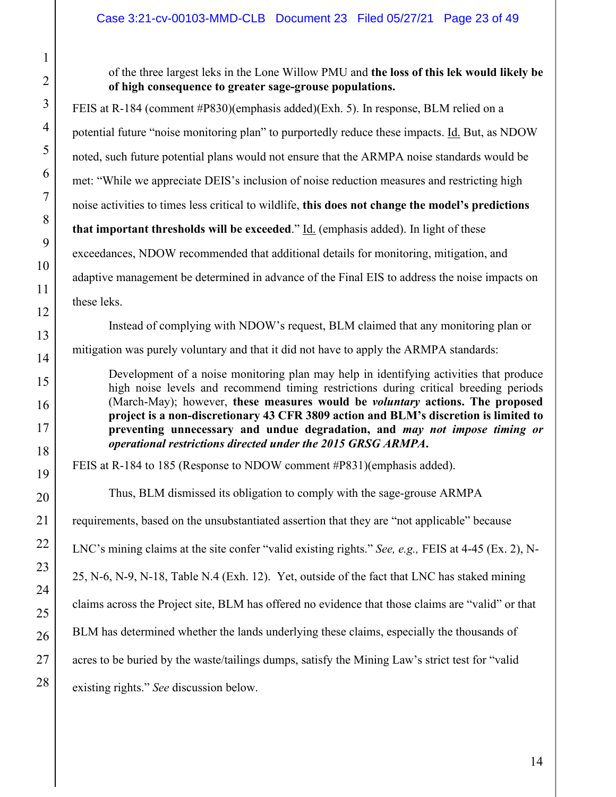of the three largest leks in the Lone Willow PMU and **the loss of this lek would likely be of high consequence to greater sage-grouse populations.**

FEIS at R-184 (comment #P830)(emphasis added)(Exh. 5). In response, BLM relied on a potential future "noise monitoring plan" to purportedly reduce these impacts. Id. But, as NDOW noted, such future potential plans would not ensure that the ARMPA noise standards would be met: "While we appreciate DEIS's inclusion of noise reduction measures and restricting high noise activities to times less critical to wildlife, **this does not change the model's predictions that important thresholds will be exceeded.**" Id. (emphasis added). In light of these exceedances, NDOW recommended that additional details for monitoring, mitigation, and adaptive management be determined in advance of the Final EIS to address the noise impacts on these leks.

 Instead of complying with NDOW's request, BLM claimed that any monitoring plan or mitigation was purely voluntary and that it did not have to apply the ARMPA standards:

Development of a noise monitoring plan may help in identifying activities that produce high noise levels and recommend timing restrictions during critical breeding periods (March-May); however, **these measures would be** *voluntary* **actions. The proposed project is a non-discretionary 43 CFR 3809 action and BLM's discretion is limited to preventing unnecessary and undue degradation, and** *may not impose timing or operational restrictions directed under the 2015 GRSG ARMPA***.** 

FEIS at R-184 to 185 (Response to NDOW comment #P831)(emphasis added).

Thus, BLM dismissed its obligation to comply with the sage-grouse ARMPA requirements, based on the unsubstantiated assertion that they are "not applicable" because LNC's mining claims at the site confer "valid existing rights." *See, e.g.,* FEIS at 4-45 (Ex. 2), N-25, N-6, N-9, N-18, Table N.4 (Exh. 12). Yet, outside of the fact that LNC has staked mining claims across the Project site, BLM has offered no evidence that those claims are "valid" or that BLM has determined whether the lands underlying these claims, especially the thousands of acres to be buried by the waste/tailings dumps, satisfy the Mining Law's strict test for "valid existing rights." *See* discussion below.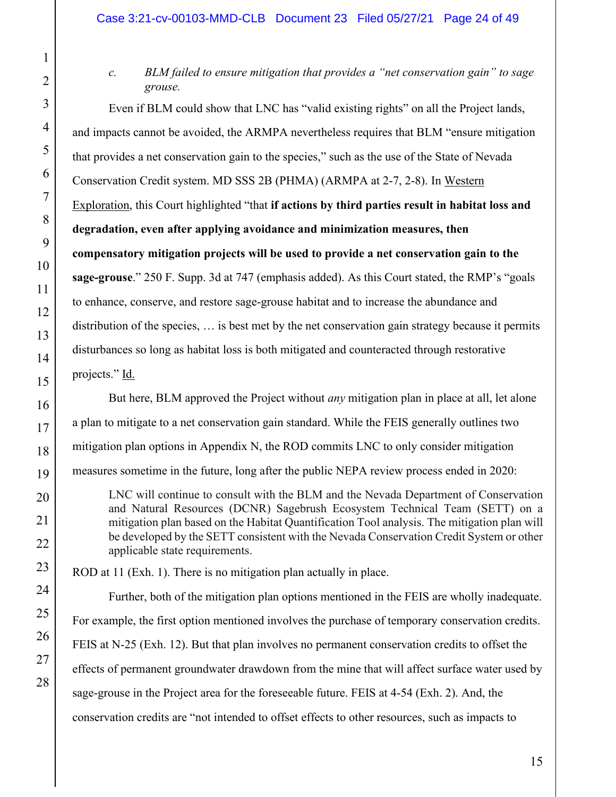*c. BLM failed to ensure mitigation that provides a "net conservation gain" to sage grouse.* 

Even if BLM could show that LNC has "valid existing rights" on all the Project lands, and impacts cannot be avoided, the ARMPA nevertheless requires that BLM "ensure mitigation that provides a net conservation gain to the species," such as the use of the State of Nevada Conservation Credit system. MD SSS 2B (PHMA) (ARMPA at 2-7, 2-8). In Western Exploration, this Court highlighted "that **if actions by third parties result in habitat loss and degradation, even after applying avoidance and minimization measures, then compensatory mitigation projects will be used to provide a net conservation gain to the sage-grouse**." 250 F. Supp. 3d at 747 (emphasis added). As this Court stated, the RMP's "goals to enhance, conserve, and restore sage-grouse habitat and to increase the abundance and distribution of the species, … is best met by the net conservation gain strategy because it permits disturbances so long as habitat loss is both mitigated and counteracted through restorative projects." Id.

But here, BLM approved the Project without *any* mitigation plan in place at all, let alone a plan to mitigate to a net conservation gain standard. While the FEIS generally outlines two mitigation plan options in Appendix N, the ROD commits LNC to only consider mitigation measures sometime in the future, long after the public NEPA review process ended in 2020:

LNC will continue to consult with the BLM and the Nevada Department of Conservation and Natural Resources (DCNR) Sagebrush Ecosystem Technical Team (SETT) on a mitigation plan based on the Habitat Quantification Tool analysis. The mitigation plan will be developed by the SETT consistent with the Nevada Conservation Credit System or other applicable state requirements.

ROD at 11 (Exh. 1). There is no mitigation plan actually in place.

Further, both of the mitigation plan options mentioned in the FEIS are wholly inadequate. For example, the first option mentioned involves the purchase of temporary conservation credits. FEIS at N-25 (Exh. 12). But that plan involves no permanent conservation credits to offset the effects of permanent groundwater drawdown from the mine that will affect surface water used by sage-grouse in the Project area for the foreseeable future. FEIS at 4-54 (Exh. 2). And, the conservation credits are "not intended to offset effects to other resources, such as impacts to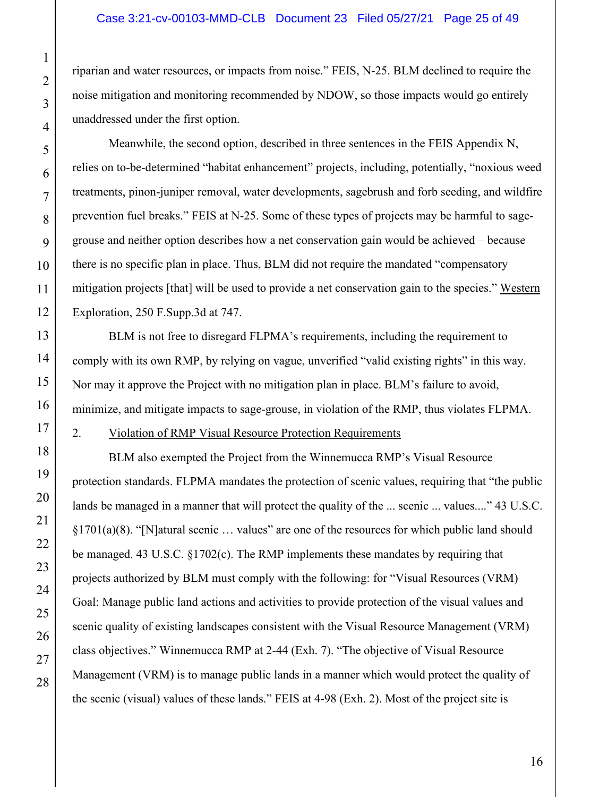riparian and water resources, or impacts from noise." FEIS, N-25. BLM declined to require the noise mitigation and monitoring recommended by NDOW, so those impacts would go entirely unaddressed under the first option.

Meanwhile, the second option, described in three sentences in the FEIS Appendix N, relies on to-be-determined "habitat enhancement" projects, including, potentially, "noxious weed treatments, pinon-juniper removal, water developments, sagebrush and forb seeding, and wildfire prevention fuel breaks." FEIS at N-25. Some of these types of projects may be harmful to sagegrouse and neither option describes how a net conservation gain would be achieved – because there is no specific plan in place. Thus, BLM did not require the mandated "compensatory mitigation projects [that] will be used to provide a net conservation gain to the species." Western Exploration, 250 F.Supp.3d at 747.

BLM is not free to disregard FLPMA's requirements, including the requirement to comply with its own RMP, by relying on vague, unverified "valid existing rights" in this way. Nor may it approve the Project with no mitigation plan in place. BLM's failure to avoid, minimize, and mitigate impacts to sage-grouse, in violation of the RMP, thus violates FLPMA.

## 2. Violation of RMP Visual Resource Protection Requirements

BLM also exempted the Project from the Winnemucca RMP's Visual Resource protection standards. FLPMA mandates the protection of scenic values, requiring that "the public lands be managed in a manner that will protect the quality of the ... scenic ... values...." 43 U.S.C. §1701(a)(8). "[N]atural scenic … values" are one of the resources for which public land should be managed. 43 U.S.C. §1702(c). The RMP implements these mandates by requiring that projects authorized by BLM must comply with the following: for "Visual Resources (VRM) Goal: Manage public land actions and activities to provide protection of the visual values and scenic quality of existing landscapes consistent with the Visual Resource Management (VRM) class objectives." Winnemucca RMP at 2-44 (Exh. 7). "The objective of Visual Resource Management (VRM) is to manage public lands in a manner which would protect the quality of the scenic (visual) values of these lands." FEIS at 4-98 (Exh. 2). Most of the project site is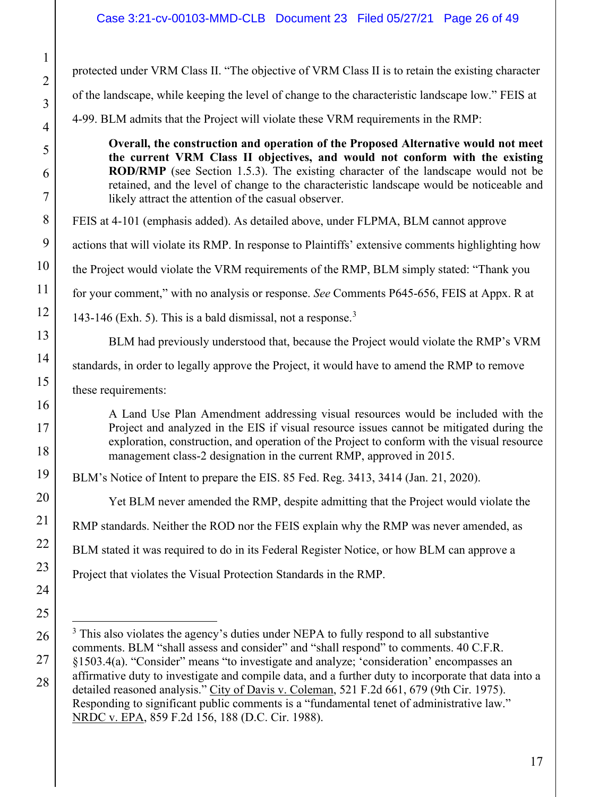# Case 3:21-cv-00103-MMD-CLB Document 23 Filed 05/27/21 Page 26 of 49

protected under VRM Class II. "The objective of VRM Class II is to retain the existing character of the landscape, while keeping the level of change to the characteristic landscape low." FEIS at 4-99. BLM admits that the Project will violate these VRM requirements in the RMP:

**Overall, the construction and operation of the Proposed Alternative would not meet the current VRM Class II objectives, and would not conform with the existing ROD/RMP** (see Section 1.5.3). The existing character of the landscape would not be retained, and the level of change to the characteristic landscape would be noticeable and likely attract the attention of the casual observer.

FEIS at 4-101 (emphasis added). As detailed above, under FLPMA, BLM cannot approve

actions that will violate its RMP. In response to Plaintiffs' extensive comments highlighting how

the Project would violate the VRM requirements of the RMP, BLM simply stated: "Thank you

for your comment," with no analysis or response. *See* Comments P645-656, FEIS at Appx. R at

143-146 (Exh. 5). This is a bald dismissal, not a response.<sup>3</sup>

BLM had previously understood that, because the Project would violate the RMP's VRM

standards, in order to legally approve the Project, it would have to amend the RMP to remove

these requirements:

A Land Use Plan Amendment addressing visual resources would be included with the Project and analyzed in the EIS if visual resource issues cannot be mitigated during the exploration, construction, and operation of the Project to conform with the visual resource management class-2 designation in the current RMP, approved in 2015.

BLM's Notice of Intent to prepare the EIS. 85 Fed. Reg. 3413, 3414 (Jan. 21, 2020).

Yet BLM never amended the RMP, despite admitting that the Project would violate the

RMP standards. Neither the ROD nor the FEIS explain why the RMP was never amended, as

BLM stated it was required to do in its Federal Register Notice, or how BLM can approve a

Project that violates the Visual Protection Standards in the RMP.

 $3$  This also violates the agency's duties under NEPA to fully respond to all substantive comments. BLM "shall assess and consider" and "shall respond" to comments. 40 C.F.R. §1503.4(a). "Consider" means "to investigate and analyze; 'consideration' encompasses an affirmative duty to investigate and compile data, and a further duty to incorporate that data into a detailed reasoned analysis." City of Davis v. Coleman, 521 F.2d 661, 679 (9th Cir. 1975). Responding to significant public comments is a "fundamental tenet of administrative law." NRDC v. EPA, 859 F.2d 156, 188 (D.C. Cir. 1988).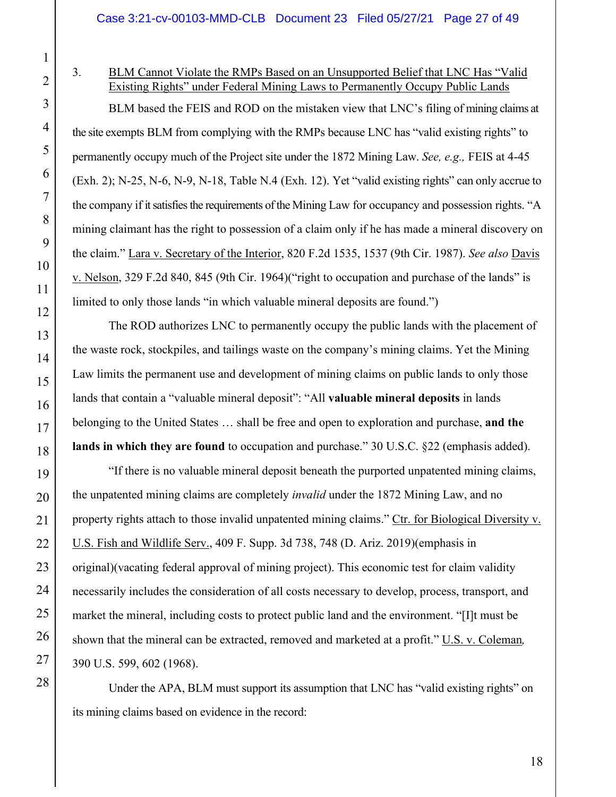26

27

28

# 3. BLM Cannot Violate the RMPs Based on an Unsupported Belief that LNC Has "Valid Existing Rights" under Federal Mining Laws to Permanently Occupy Public Lands

 BLM based the FEIS and ROD on the mistaken view that LNC's filing of mining claims at the site exempts BLM from complying with the RMPs because LNC has "valid existing rights" to permanently occupy much of the Project site under the 1872 Mining Law. *See, e.g.,* FEIS at 4-45 (Exh. 2); N-25, N-6, N-9, N-18, Table N.4 (Exh. 12). Yet "valid existing rights" can only accrue to the company if it satisfies the requirements of the Mining Law for occupancy and possession rights. "A mining claimant has the right to possession of a claim only if he has made a mineral discovery on the claim." Lara v. Secretary of the Interior, 820 F.2d 1535, 1537 (9th Cir. 1987). *See also* Davis v. Nelson, 329 F.2d 840, 845 (9th Cir. 1964)("right to occupation and purchase of the lands" is limited to only those lands "in which valuable mineral deposits are found.")

 The ROD authorizes LNC to permanently occupy the public lands with the placement of the waste rock, stockpiles, and tailings waste on the company's mining claims. Yet the Mining Law limits the permanent use and development of mining claims on public lands to only those lands that contain a "valuable mineral deposit": "All **valuable mineral deposits** in lands belonging to the United States … shall be free and open to exploration and purchase, **and the lands in which they are found** to occupation and purchase." 30 U.S.C. §22 (emphasis added).

 "If there is no valuable mineral deposit beneath the purported unpatented mining claims, the unpatented mining claims are completely *invalid* under the 1872 Mining Law, and no property rights attach to those invalid unpatented mining claims." Ctr. for Biological Diversity v. U.S. Fish and Wildlife Serv., 409 F. Supp. 3d 738, 748 (D. Ariz. 2019)(emphasis in original)(vacating federal approval of mining project). This economic test for claim validity necessarily includes the consideration of all costs necessary to develop, process, transport, and market the mineral, including costs to protect public land and the environment. "[I]t must be shown that the mineral can be extracted, removed and marketed at a profit." U.S. v. Coleman*,*  390 U.S. 599, 602 (1968).

Under the APA, BLM must support its assumption that LNC has "valid existing rights" on its mining claims based on evidence in the record: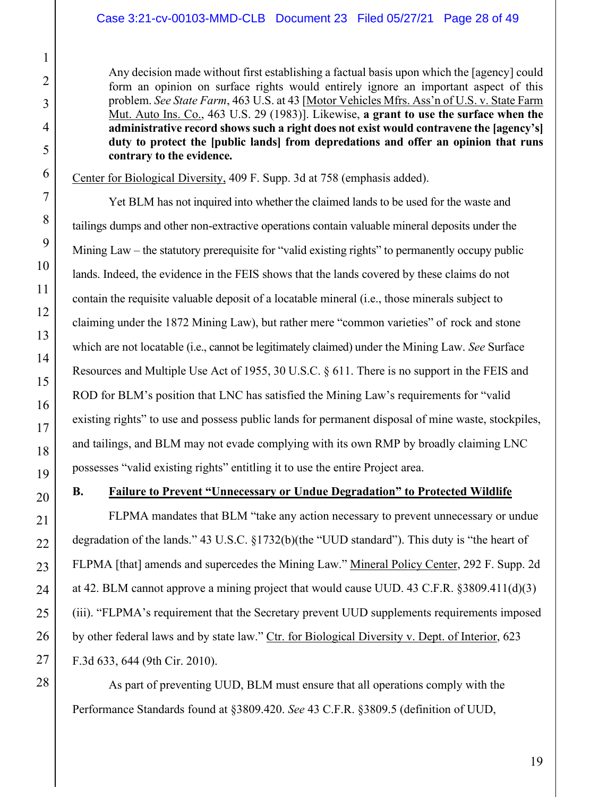Any decision made without first establishing a factual basis upon which the [agency] could form an opinion on surface rights would entirely ignore an important aspect of this problem. *See State Farm*, 463 U.S. at 43 [Motor Vehicles Mfrs. Ass'n of U.S. v. State Farm Mut. Auto Ins. Co., 463 U.S. 29 (1983)]. Likewise, **a grant to use the surface when the administrative record shows such a right does not exist would contravene the [agency's] duty to protect the [public lands] from depredations and offer an opinion that runs contrary to the evidence.**

Center for Biological Diversity, 409 F. Supp. 3d at 758 (emphasis added).

Yet BLM has not inquired into whether the claimed lands to be used for the waste and tailings dumps and other non-extractive operations contain valuable mineral deposits under the Mining Law – the statutory prerequisite for "valid existing rights" to permanently occupy public lands. Indeed, the evidence in the FEIS shows that the lands covered by these claims do not contain the requisite valuable deposit of a locatable mineral (i.e., those minerals subject to claiming under the 1872 Mining Law), but rather mere "common varieties" of rock and stone which are not locatable (i.e., cannot be legitimately claimed) under the Mining Law. *See* Surface Resources and Multiple Use Act of 1955, 30 U.S.C. § 611. There is no support in the FEIS and ROD for BLM's position that LNC has satisfied the Mining Law's requirements for "valid existing rights" to use and possess public lands for permanent disposal of mine waste, stockpiles, and tailings, and BLM may not evade complying with its own RMP by broadly claiming LNC possesses "valid existing rights" entitling it to use the entire Project area.

# **B. Failure to Prevent "Unnecessary or Undue Degradation" to Protected Wildlife**

 FLPMA mandates that BLM "take any action necessary to prevent unnecessary or undue degradation of the lands." 43 U.S.C. §1732(b)(the "UUD standard"). This duty is "the heart of FLPMA [that] amends and supercedes the Mining Law." Mineral Policy Center, 292 F. Supp. 2d at 42. BLM cannot approve a mining project that would cause UUD. 43 C.F.R. §3809.411(d)(3) (iii). "FLPMA's requirement that the Secretary prevent UUD supplements requirements imposed by other federal laws and by state law." Ctr. for Biological Diversity v. Dept. of Interior, 623 F.3d 633, 644 (9th Cir. 2010).

 As part of preventing UUD, BLM must ensure that all operations comply with the Performance Standards found at §3809.420. *See* 43 C.F.R. §3809.5 (definition of UUD,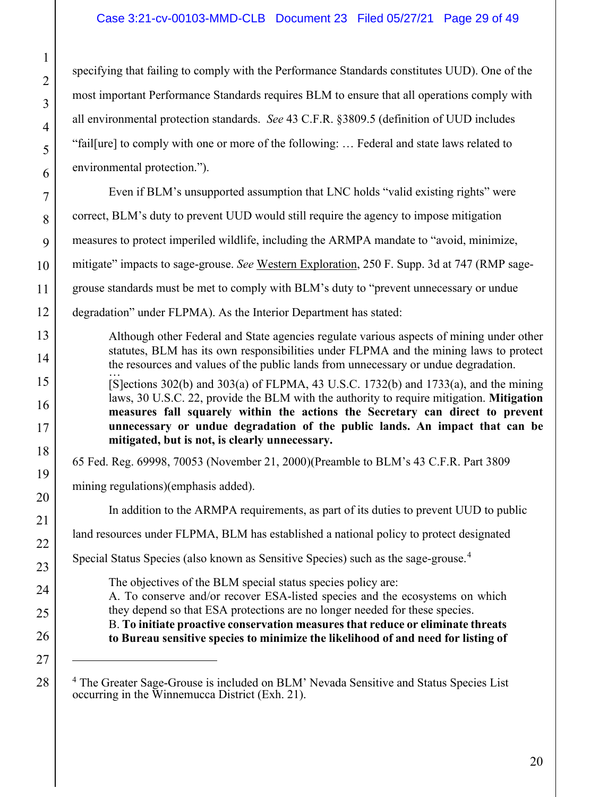## Case 3:21-cv-00103-MMD-CLB Document 23 Filed 05/27/21 Page 29 of 49

specifying that failing to comply with the Performance Standards constitutes UUD). One of the most important Performance Standards requires BLM to ensure that all operations comply with all environmental protection standards. *See* 43 C.F.R. §3809.5 (definition of UUD includes "fail[ure] to comply with one or more of the following: … Federal and state laws related to environmental protection.").

 Even if BLM's unsupported assumption that LNC holds "valid existing rights" were correct, BLM's duty to prevent UUD would still require the agency to impose mitigation measures to protect imperiled wildlife, including the ARMPA mandate to "avoid, minimize, mitigate" impacts to sage-grouse. *See* Western Exploration, 250 F. Supp. 3d at 747 (RMP sagegrouse standards must be met to comply with BLM's duty to "prevent unnecessary or undue degradation" under FLPMA). As the Interior Department has stated:

Although other Federal and State agencies regulate various aspects of mining under other statutes, BLM has its own responsibilities under FLPMA and the mining laws to protect the resources and values of the public lands from unnecessary or undue degradation. …

[S]ections  $302(b)$  and  $303(a)$  of FLPMA, 43 U.S.C. 1732(b) and 1733(a), and the mining laws, 30 U.S.C. 22, provide the BLM with the authority to require mitigation. **Mitigation measures fall squarely within the actions the Secretary can direct to prevent unnecessary or undue degradation of the public lands. An impact that can be mitigated, but is not, is clearly unnecessary.**

65 Fed. Reg. 69998, 70053 (November 21, 2000)(Preamble to BLM's 43 C.F.R. Part 3809

mining regulations)(emphasis added).

In addition to the ARMPA requirements, as part of its duties to prevent UUD to public

land resources under FLPMA, BLM has established a national policy to protect designated

Special Status Species (also known as Sensitive Species) such as the sage-grouse.<sup>4</sup>

The objectives of the BLM special status species policy are: A. To conserve and/or recover ESA-listed species and the ecosystems on which they depend so that ESA protections are no longer needed for these species. B. **To initiate proactive conservation measures that reduce or eliminate threats to Bureau sensitive species to minimize the likelihood of and need for listing of** 

<sup>&</sup>lt;sup>4</sup> The Greater Sage-Grouse is included on BLM' Nevada Sensitive and Status Species List occurring in the Winnemucca District (Exh. 21).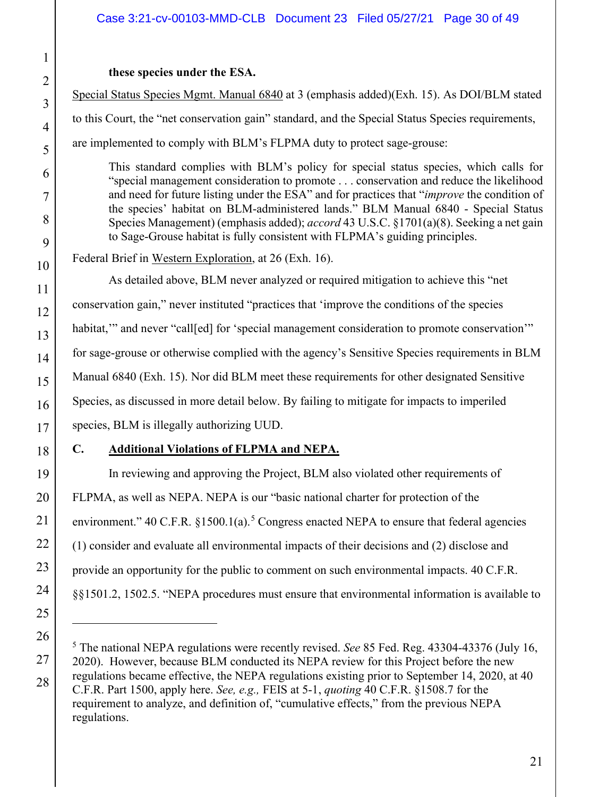## **these species under the ESA.**

Special Status Species Mgmt. Manual 6840 at 3 (emphasis added)(Exh. 15). As DOI/BLM stated to this Court, the "net conservation gain" standard, and the Special Status Species requirements, are implemented to comply with BLM's FLPMA duty to protect sage-grouse:

This standard complies with BLM's policy for special status species, which calls for "special management consideration to promote . . . conservation and reduce the likelihood and need for future listing under the ESA" and for practices that "*improve* the condition of the species' habitat on BLM-administered lands." BLM Manual 6840 - Special Status Species Management) (emphasis added); *accord* 43 U.S.C. §1701(a)(8). Seeking a net gain to Sage-Grouse habitat is fully consistent with FLPMA's guiding principles.

Federal Brief in Western Exploration, at 26 (Exh. 16).

As detailed above, BLM never analyzed or required mitigation to achieve this "net conservation gain," never instituted "practices that 'improve the conditions of the species habitat," and never "call[ed] for 'special management consideration to promote conservation'" for sage-grouse or otherwise complied with the agency's Sensitive Species requirements in BLM Manual 6840 (Exh. 15). Nor did BLM meet these requirements for other designated Sensitive Species, as discussed in more detail below. By failing to mitigate for impacts to imperiled species, BLM is illegally authorizing UUD.

18

1

2

3

4

5

6

7

8

9

10

11

12

13

14

15

16

17

19

20

21

22

23

24

25

26

27

28

# **C. Additional Violations of FLPMA and NEPA.**

In reviewing and approving the Project, BLM also violated other requirements of FLPMA, as well as NEPA. NEPA is our "basic national charter for protection of the environment."  $40 \text{ C.F.R. }$   $§1500.1(a)$ .<sup>5</sup> Congress enacted NEPA to ensure that federal agencies (1) consider and evaluate all environmental impacts of their decisions and (2) disclose and provide an opportunity for the public to comment on such environmental impacts. 40 C.F.R. §§1501.2, 1502.5. "NEPA procedures must ensure that environmental information is available to

<sup>5</sup> The national NEPA regulations were recently revised. *See* 85 Fed. Reg. 43304-43376 (July 16, 2020). However, because BLM conducted its NEPA review for this Project before the new regulations became effective, the NEPA regulations existing prior to September 14, 2020, at 40 C.F.R. Part 1500, apply here. *See, e.g.,* FEIS at 5-1, *quoting* 40 C.F.R. §1508.7 for the requirement to analyze, and definition of, "cumulative effects," from the previous NEPA regulations.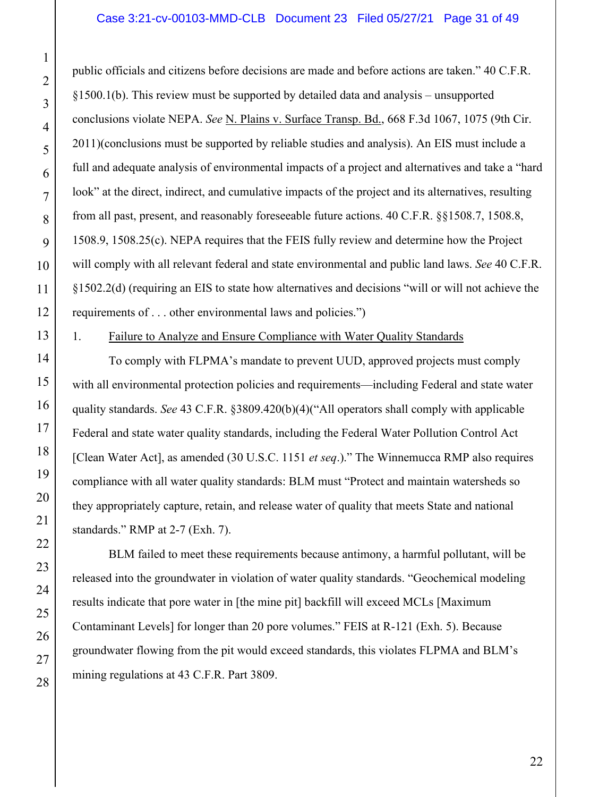public officials and citizens before decisions are made and before actions are taken." 40 C.F.R. §1500.1(b). This review must be supported by detailed data and analysis – unsupported conclusions violate NEPA. *See* N. Plains v. Surface Transp. Bd., 668 F.3d 1067, 1075 (9th Cir. 2011)(conclusions must be supported by reliable studies and analysis). An EIS must include a full and adequate analysis of environmental impacts of a project and alternatives and take a "hard look" at the direct, indirect, and cumulative impacts of the project and its alternatives, resulting from all past, present, and reasonably foreseeable future actions. 40 C.F.R. §§1508.7, 1508.8, 1508.9, 1508.25(c). NEPA requires that the FEIS fully review and determine how the Project will comply with all relevant federal and state environmental and public land laws. *See* 40 C.F.R. §1502.2(d) (requiring an EIS to state how alternatives and decisions "will or will not achieve the requirements of . . . other environmental laws and policies.")

#### 1. Failure to Analyze and Ensure Compliance with Water Quality Standards

 To comply with FLPMA's mandate to prevent UUD, approved projects must comply with all environmental protection policies and requirements—including Federal and state water quality standards. *See* 43 C.F.R. §3809.420(b)(4)("All operators shall comply with applicable Federal and state water quality standards, including the Federal Water Pollution Control Act [Clean Water Act], as amended (30 U.S.C. 1151 *et seq*.)." The Winnemucca RMP also requires compliance with all water quality standards: BLM must "Protect and maintain watersheds so they appropriately capture, retain, and release water of quality that meets State and national standards." RMP at 2-7 (Exh. 7).

BLM failed to meet these requirements because antimony, a harmful pollutant, will be released into the groundwater in violation of water quality standards. "Geochemical modeling results indicate that pore water in [the mine pit] backfill will exceed MCLs [Maximum Contaminant Levels] for longer than 20 pore volumes." FEIS at R-121 (Exh. 5). Because groundwater flowing from the pit would exceed standards, this violates FLPMA and BLM's mining regulations at 43 C.F.R. Part 3809.

1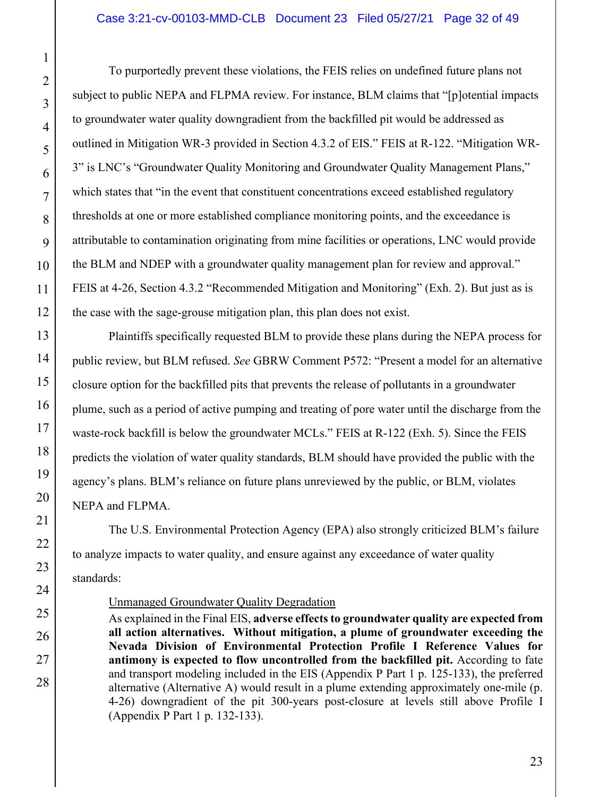To purportedly prevent these violations, the FEIS relies on undefined future plans not subject to public NEPA and FLPMA review. For instance, BLM claims that "[p]otential impacts to groundwater water quality downgradient from the backfilled pit would be addressed as outlined in Mitigation WR-3 provided in Section 4.3.2 of EIS." FEIS at R-122. "Mitigation WR-3" is LNC's "Groundwater Quality Monitoring and Groundwater Quality Management Plans," which states that "in the event that constituent concentrations exceed established regulatory thresholds at one or more established compliance monitoring points, and the exceedance is attributable to contamination originating from mine facilities or operations, LNC would provide the BLM and NDEP with a groundwater quality management plan for review and approval." FEIS at 4-26, Section 4.3.2 "Recommended Mitigation and Monitoring" (Exh. 2). But just as is the case with the sage-grouse mitigation plan, this plan does not exist.

 Plaintiffs specifically requested BLM to provide these plans during the NEPA process for public review, but BLM refused. *See* GBRW Comment P572: "Present a model for an alternative closure option for the backfilled pits that prevents the release of pollutants in a groundwater plume, such as a period of active pumping and treating of pore water until the discharge from the waste-rock backfill is below the groundwater MCLs." FEIS at R-122 (Exh. 5). Since the FEIS predicts the violation of water quality standards, BLM should have provided the public with the agency's plans. BLM's reliance on future plans unreviewed by the public, or BLM, violates NEPA and FLPMA.

 The U.S. Environmental Protection Agency (EPA) also strongly criticized BLM's failure to analyze impacts to water quality, and ensure against any exceedance of water quality standards:

#### Unmanaged Groundwater Quality Degradation

As explained in the Final EIS, **adverse effects to groundwater quality are expected from all action alternatives. Without mitigation, a plume of groundwater exceeding the Nevada Division of Environmental Protection Profile I Reference Values for antimony is expected to flow uncontrolled from the backfilled pit.** According to fate and transport modeling included in the EIS (Appendix P Part 1 p. 125-133), the preferred alternative (Alternative A) would result in a plume extending approximately one-mile (p. 4-26) downgradient of the pit 300-years post-closure at levels still above Profile I (Appendix P Part 1 p. 132-133).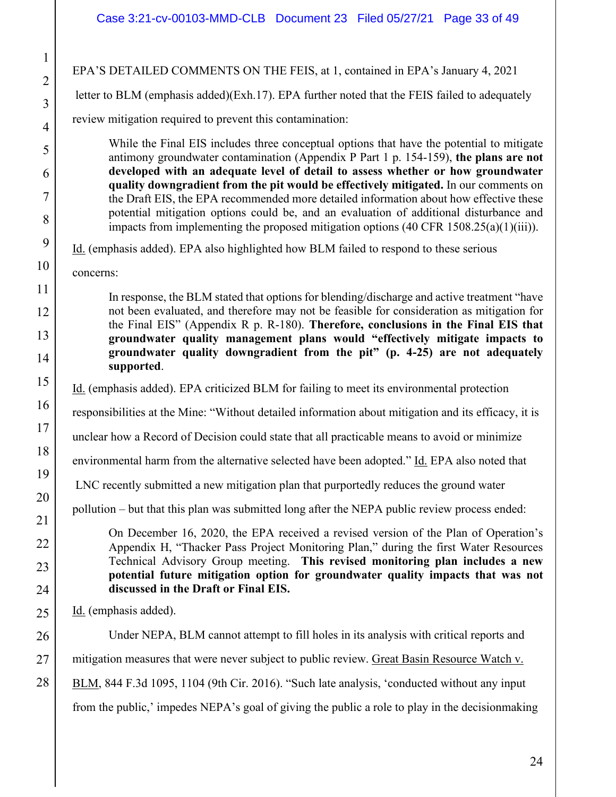1

2

3

4

5

6

7

8

9

11

13

17

18

19

21

22

23

24

25

28

10 12 14 15 16 20 26 27 EPA'S DETAILED COMMENTS ON THE FEIS, at 1, contained in EPA's January 4, 2021 letter to BLM (emphasis added)(Exh.17). EPA further noted that the FEIS failed to adequately review mitigation required to prevent this contamination: While the Final EIS includes three conceptual options that have the potential to mitigate antimony groundwater contamination (Appendix P Part 1 p. 154-159), **the plans are not developed with an adequate level of detail to assess whether or how groundwater quality downgradient from the pit would be effectively mitigated.** In our comments on the Draft EIS, the EPA recommended more detailed information about how effective these potential mitigation options could be, and an evaluation of additional disturbance and impacts from implementing the proposed mitigation options (40 CFR 1508.25(a)(1)(iii)). Id. (emphasis added). EPA also highlighted how BLM failed to respond to these serious concerns: In response, the BLM stated that options for blending/discharge and active treatment "have not been evaluated, and therefore may not be feasible for consideration as mitigation for the Final EIS" (Appendix R p. R-180). **Therefore, conclusions in the Final EIS that groundwater quality management plans would "effectively mitigate impacts to groundwater quality downgradient from the pit" (p. 4-25) are not adequately supported**. Id. (emphasis added). EPA criticized BLM for failing to meet its environmental protection responsibilities at the Mine: "Without detailed information about mitigation and its efficacy, it is unclear how a Record of Decision could state that all practicable means to avoid or minimize environmental harm from the alternative selected have been adopted." Id. EPA also noted that LNC recently submitted a new mitigation plan that purportedly reduces the ground water pollution – but that this plan was submitted long after the NEPA public review process ended: On December 16, 2020, the EPA received a revised version of the Plan of Operation's Appendix H, "Thacker Pass Project Monitoring Plan," during the first Water Resources Technical Advisory Group meeting. **This revised monitoring plan includes a new potential future mitigation option for groundwater quality impacts that was not discussed in the Draft or Final EIS.** Id. (emphasis added). Under NEPA, BLM cannot attempt to fill holes in its analysis with critical reports and mitigation measures that were never subject to public review. Great Basin Resource Watch v. BLM, 844 F.3d 1095, 1104 (9th Cir. 2016). "Such late analysis, 'conducted without any input from the public,' impedes NEPA's goal of giving the public a role to play in the decisionmaking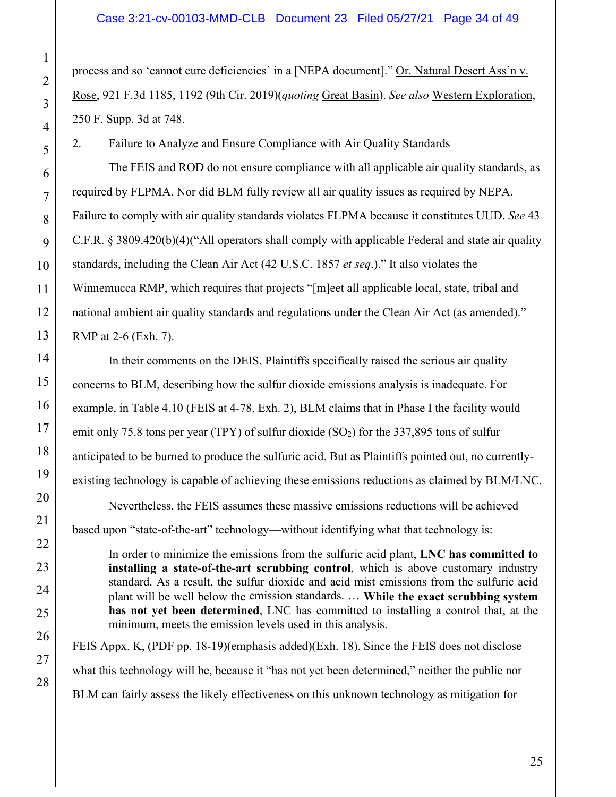process and so 'cannot cure deficiencies' in a [NEPA document]." Or. Natural Desert Ass'n v. Rose, 921 F.3d 1185, 1192 (9th Cir. 2019)(*quoting* Great Basin). *See also* Western Exploration, 250 F. Supp. 3d at 748.

## 2. Failure to Analyze and Ensure Compliance with Air Quality Standards

The FEIS and ROD do not ensure compliance with all applicable air quality standards, as required by FLPMA. Nor did BLM fully review all air quality issues as required by NEPA. Failure to comply with air quality standards violates FLPMA because it constitutes UUD. *See* 43 C.F.R. § 3809.420(b)(4)("All operators shall comply with applicable Federal and state air quality standards, including the Clean Air Act (42 U.S.C. 1857 *et seq*.)." It also violates the Winnemucca RMP, which requires that projects "[m]eet all applicable local, state, tribal and national ambient air quality standards and regulations under the Clean Air Act (as amended)." RMP at 2-6 (Exh. 7).

 In their comments on the DEIS, Plaintiffs specifically raised the serious air quality concerns to BLM, describing how the sulfur dioxide emissions analysis is inadequate. For example, in Table 4.10 (FEIS at 4-78, Exh. 2), BLM claims that in Phase I the facility would emit only 75.8 tons per year (TPY) of sulfur dioxide  $(SO<sub>2</sub>)$  for the 337,895 tons of sulfur anticipated to be burned to produce the sulfuric acid. But as Plaintiffs pointed out, no currentlyexisting technology is capable of achieving these emissions reductions as claimed by BLM/LNC.

Nevertheless, the FEIS assumes these massive emissions reductions will be achieved based upon "state-of-the-art" technology—without identifying what that technology is:

In order to minimize the emissions from the sulfuric acid plant, **LNC has committed to installing a state-of-the-art scrubbing control**, which is above customary industry standard. As a result, the sulfur dioxide and acid mist emissions from the sulfuric acid plant will be well below the emission standards. … **While the exact scrubbing system has not yet been determined**, LNC has committed to installing a control that, at the minimum, meets the emission levels used in this analysis.

FEIS Appx. K, (PDF pp. 18-19)(emphasis added)(Exh. 18). Since the FEIS does not disclose what this technology will be, because it "has not yet been determined," neither the public nor BLM can fairly assess the likely effectiveness on this unknown technology as mitigation for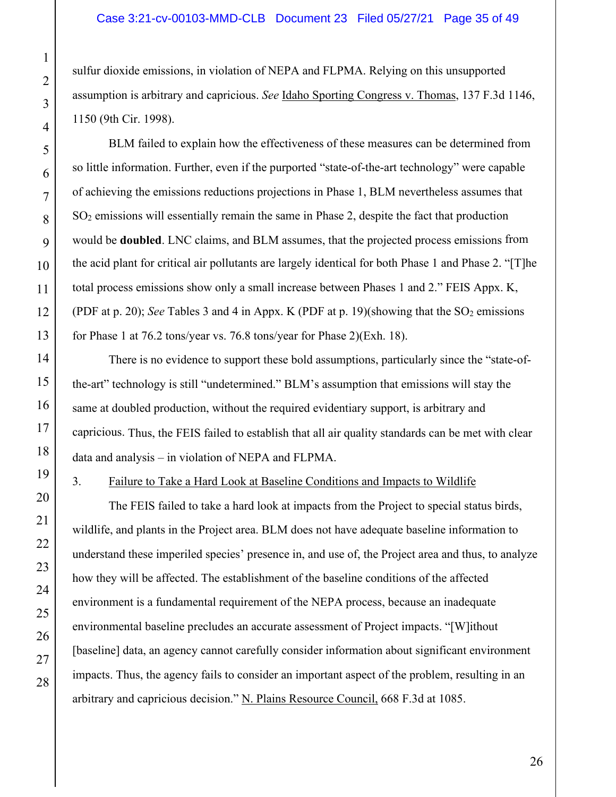sulfur dioxide emissions, in violation of NEPA and FLPMA. Relying on this unsupported assumption is arbitrary and capricious. *See* Idaho Sporting Congress v. Thomas, 137 F.3d 1146, 1150 (9th Cir. 1998).

BLM failed to explain how the effectiveness of these measures can be determined from so little information. Further, even if the purported "state-of-the-art technology" were capable of achieving the emissions reductions projections in Phase 1, BLM nevertheless assumes that SO<sub>2</sub> emissions will essentially remain the same in Phase 2, despite the fact that production would be **doubled**. LNC claims, and BLM assumes, that the projected process emissions from the acid plant for critical air pollutants are largely identical for both Phase 1 and Phase 2. "[T]he total process emissions show only a small increase between Phases 1 and 2." FEIS Appx. K, (PDF at p. 20); *See* Tables 3 and 4 in Appx. K (PDF at p. 19)(showing that the SO<sub>2</sub> emissions for Phase 1 at 76.2 tons/year vs. 76.8 tons/year for Phase 2)(Exh. 18).

There is no evidence to support these bold assumptions, particularly since the "state-ofthe-art" technology is still "undetermined." BLM's assumption that emissions will stay the same at doubled production, without the required evidentiary support, is arbitrary and capricious. Thus, the FEIS failed to establish that all air quality standards can be met with clear data and analysis – in violation of NEPA and FLPMA.

## 3. Failure to Take a Hard Look at Baseline Conditions and Impacts to Wildlife

The FEIS failed to take a hard look at impacts from the Project to special status birds, wildlife, and plants in the Project area. BLM does not have adequate baseline information to understand these imperiled species' presence in, and use of, the Project area and thus, to analyze how they will be affected. The establishment of the baseline conditions of the affected environment is a fundamental requirement of the NEPA process, because an inadequate environmental baseline precludes an accurate assessment of Project impacts. "[W]ithout [baseline] data, an agency cannot carefully consider information about significant environment impacts. Thus, the agency fails to consider an important aspect of the problem, resulting in an arbitrary and capricious decision." N. Plains Resource Council, 668 F.3d at 1085.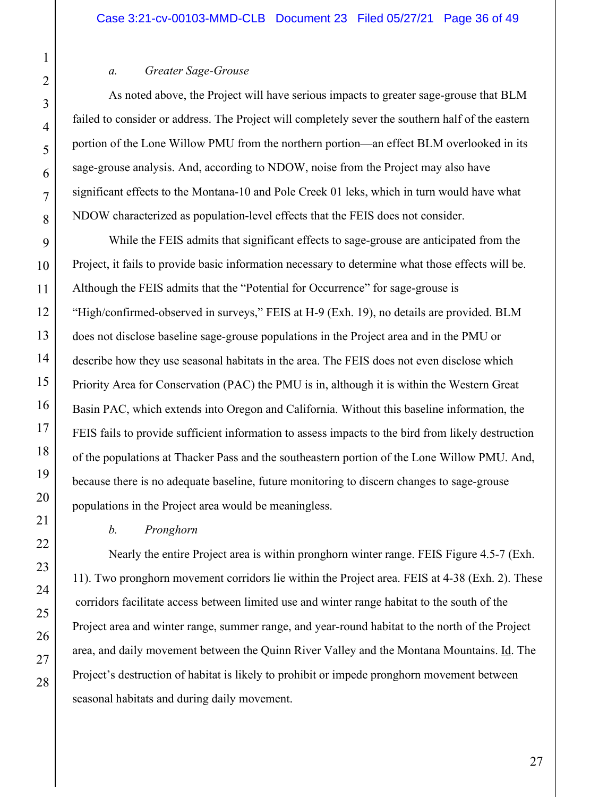#### *a. Greater Sage-Grouse*

 As noted above, the Project will have serious impacts to greater sage-grouse that BLM failed to consider or address. The Project will completely sever the southern half of the eastern portion of the Lone Willow PMU from the northern portion—an effect BLM overlooked in its sage-grouse analysis. And, according to NDOW, noise from the Project may also have significant effects to the Montana-10 and Pole Creek 01 leks, which in turn would have what NDOW characterized as population-level effects that the FEIS does not consider.

 While the FEIS admits that significant effects to sage-grouse are anticipated from the Project, it fails to provide basic information necessary to determine what those effects will be. Although the FEIS admits that the "Potential for Occurrence" for sage-grouse is "High/confirmed-observed in surveys," FEIS at H-9 (Exh. 19), no details are provided. BLM does not disclose baseline sage-grouse populations in the Project area and in the PMU or describe how they use seasonal habitats in the area. The FEIS does not even disclose which Priority Area for Conservation (PAC) the PMU is in, although it is within the Western Great Basin PAC, which extends into Oregon and California. Without this baseline information, the FEIS fails to provide sufficient information to assess impacts to the bird from likely destruction of the populations at Thacker Pass and the southeastern portion of the Lone Willow PMU. And, because there is no adequate baseline, future monitoring to discern changes to sage-grouse populations in the Project area would be meaningless.

#### *b. Pronghorn*

Nearly the entire Project area is within pronghorn winter range. FEIS Figure 4.5-7 (Exh. 11). Two pronghorn movement corridors lie within the Project area. FEIS at 4-38 (Exh. 2). These corridors facilitate access between limited use and winter range habitat to the south of the Project area and winter range, summer range, and year-round habitat to the north of the Project area, and daily movement between the Quinn River Valley and the Montana Mountains. Id. The Project's destruction of habitat is likely to prohibit or impede pronghorn movement between seasonal habitats and during daily movement.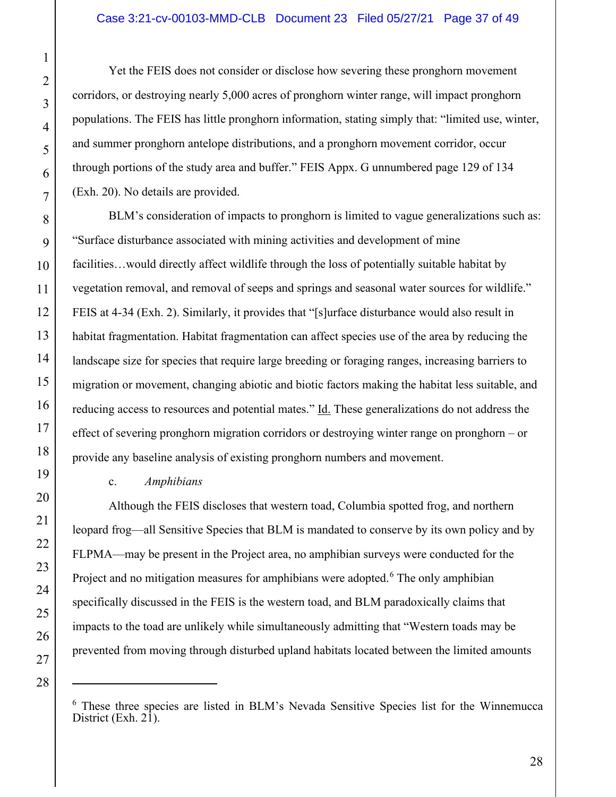Yet the FEIS does not consider or disclose how severing these pronghorn movement corridors, or destroying nearly 5,000 acres of pronghorn winter range, will impact pronghorn populations. The FEIS has little pronghorn information, stating simply that: "limited use, winter, and summer pronghorn antelope distributions, and a pronghorn movement corridor, occur through portions of the study area and buffer." FEIS Appx. G unnumbered page 129 of 134 (Exh. 20). No details are provided.

BLM's consideration of impacts to pronghorn is limited to vague generalizations such as: "Surface disturbance associated with mining activities and development of mine facilities…would directly affect wildlife through the loss of potentially suitable habitat by vegetation removal, and removal of seeps and springs and seasonal water sources for wildlife." FEIS at 4-34 (Exh. 2). Similarly, it provides that "[s]urface disturbance would also result in habitat fragmentation. Habitat fragmentation can affect species use of the area by reducing the landscape size for species that require large breeding or foraging ranges, increasing barriers to migration or movement, changing abiotic and biotic factors making the habitat less suitable, and reducing access to resources and potential mates." Id. These generalizations do not address the effect of severing pronghorn migration corridors or destroying winter range on pronghorn – or provide any baseline analysis of existing pronghorn numbers and movement.

## c. *Amphibians*

 Although the FEIS discloses that western toad, Columbia spotted frog, and northern leopard frog—all Sensitive Species that BLM is mandated to conserve by its own policy and by FLPMA—may be present in the Project area, no amphibian surveys were conducted for the Project and no mitigation measures for amphibians were adopted.<sup>6</sup> The only amphibian specifically discussed in the FEIS is the western toad, and BLM paradoxically claims that impacts to the toad are unlikely while simultaneously admitting that "Western toads may be prevented from moving through disturbed upland habitats located between the limited amounts

<sup>6</sup> These three species are listed in BLM's Nevada Sensitive Species list for the Winnemucca District (Exh. 21).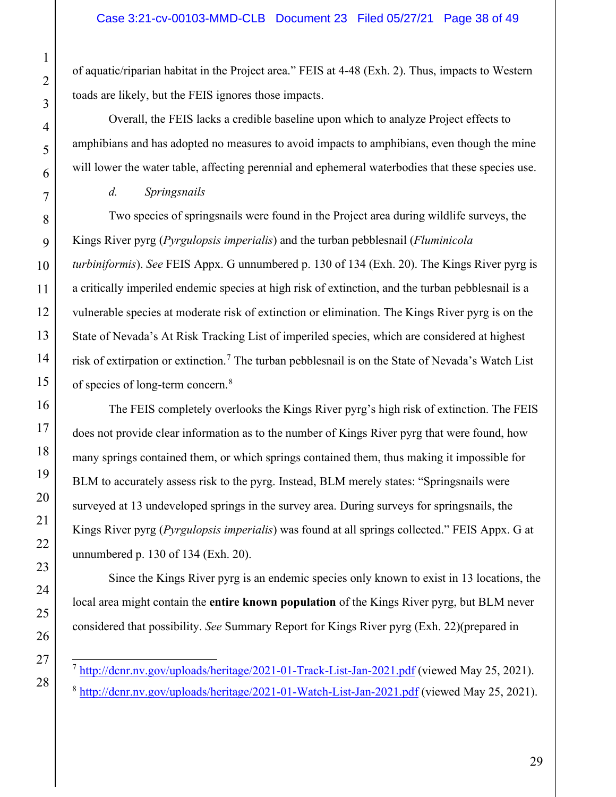of aquatic/riparian habitat in the Project area." FEIS at 4-48 (Exh. 2). Thus, impacts to Western toads are likely, but the FEIS ignores those impacts.

Overall, the FEIS lacks a credible baseline upon which to analyze Project effects to amphibians and has adopted no measures to avoid impacts to amphibians, even though the mine will lower the water table, affecting perennial and ephemeral waterbodies that these species use.

 *d. Springsnails*

 Two species of springsnails were found in the Project area during wildlife surveys, the Kings River pyrg (*Pyrgulopsis imperialis*) and the turban pebblesnail (*Fluminicola turbiniformis*). *See* FEIS Appx. G unnumbered p. 130 of 134 (Exh. 20). The Kings River pyrg is a critically imperiled endemic species at high risk of extinction, and the turban pebblesnail is a vulnerable species at moderate risk of extinction or elimination. The Kings River pyrg is on the State of Nevada's At Risk Tracking List of imperiled species, which are considered at highest risk of extirpation or extinction.<sup>7</sup> The turban pebblesnail is on the State of Nevada's Watch List of species of long-term concern.<sup>8</sup>

 The FEIS completely overlooks the Kings River pyrg's high risk of extinction. The FEIS does not provide clear information as to the number of Kings River pyrg that were found, how many springs contained them, or which springs contained them, thus making it impossible for BLM to accurately assess risk to the pyrg. Instead, BLM merely states: "Springsnails were surveyed at 13 undeveloped springs in the survey area. During surveys for springsnails, the Kings River pyrg (*Pyrgulopsis imperialis*) was found at all springs collected." FEIS Appx. G at unnumbered p. 130 of 134 (Exh. 20).

 Since the Kings River pyrg is an endemic species only known to exist in 13 locations, the local area might contain the **entire known population** of the Kings River pyrg, but BLM never considered that possibility. *See* Summary Report for Kings River pyrg (Exh. 22)(prepared in

 $^7$  http://dcnr.nv.gov/uploads/heritage/2021-01-Track-List-Jan-2021.pdf (viewed May 25, 2021). <sup>8</sup> http://dcnr.nv.gov/uploads/heritage/2021-01-Watch-List-Jan-2021.pdf (viewed May 25, 2021).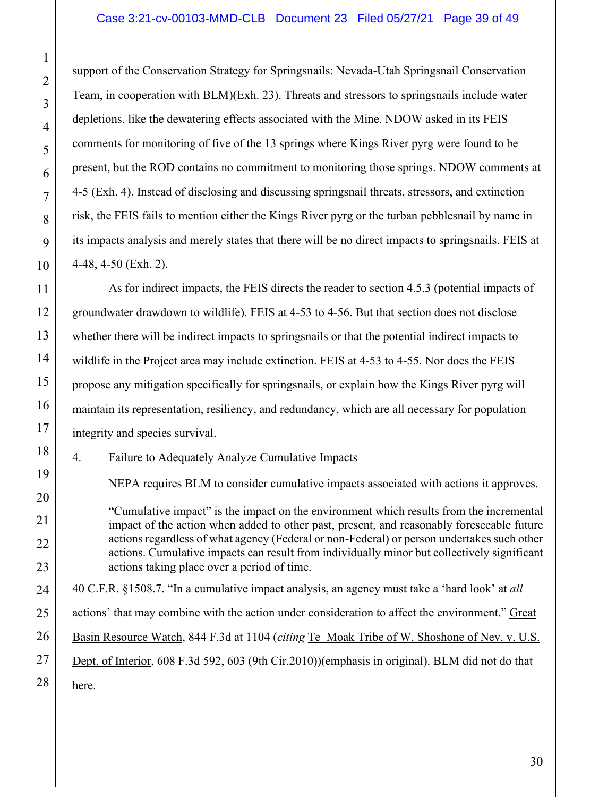support of the Conservation Strategy for Springsnails: Nevada-Utah Springsnail Conservation Team, in cooperation with BLM)(Exh. 23). Threats and stressors to springsnails include water depletions, like the dewatering effects associated with the Mine. NDOW asked in its FEIS comments for monitoring of five of the 13 springs where Kings River pyrg were found to be present, but the ROD contains no commitment to monitoring those springs. NDOW comments at 4-5 (Exh. 4). Instead of disclosing and discussing springsnail threats, stressors, and extinction risk, the FEIS fails to mention either the Kings River pyrg or the turban pebblesnail by name in its impacts analysis and merely states that there will be no direct impacts to springsnails. FEIS at 4-48, 4-50 (Exh. 2).

 As for indirect impacts, the FEIS directs the reader to section 4.5.3 (potential impacts of groundwater drawdown to wildlife). FEIS at 4-53 to 4-56. But that section does not disclose whether there will be indirect impacts to springsnails or that the potential indirect impacts to wildlife in the Project area may include extinction. FEIS at 4-53 to 4-55. Nor does the FEIS propose any mitigation specifically for springsnails, or explain how the Kings River pyrg will maintain its representation, resiliency, and redundancy, which are all necessary for population integrity and species survival.

4. Failure to Adequately Analyze Cumulative Impacts

NEPA requires BLM to consider cumulative impacts associated with actions it approves.

"Cumulative impact" is the impact on the environment which results from the incremental impact of the action when added to other past, present, and reasonably foreseeable future actions regardless of what agency (Federal or non-Federal) or person undertakes such other actions. Cumulative impacts can result from individually minor but collectively significant actions taking place over a period of time.

26 28 40 C.F.R. §1508.7. "In a cumulative impact analysis, an agency must take a 'hard look' at *all*  actions' that may combine with the action under consideration to affect the environment." Great Basin Resource Watch, 844 F.3d at 1104 (*citing* Te–Moak Tribe of W. Shoshone of Nev. v. U.S. Dept. of Interior, 608 F.3d 592, 603 (9th Cir.2010))(emphasis in original). BLM did not do that here.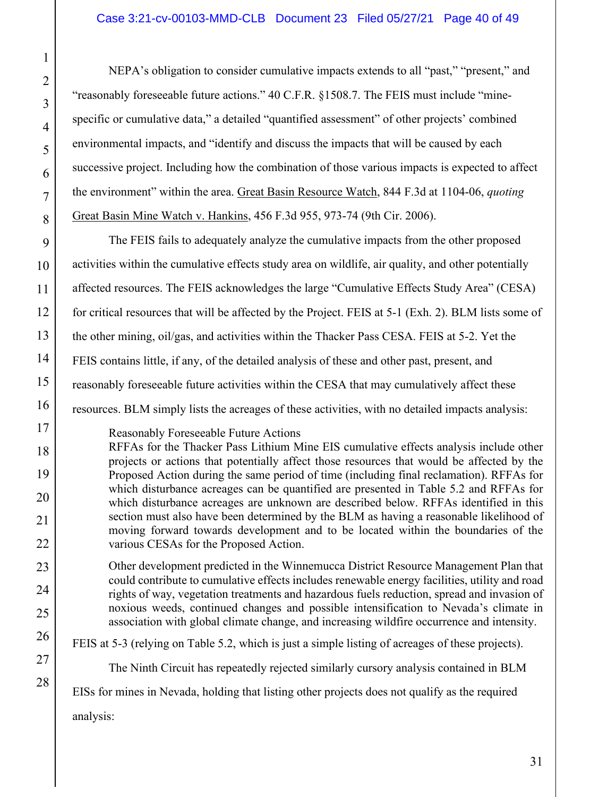NEPA's obligation to consider cumulative impacts extends to all "past," "present," and "reasonably foreseeable future actions." 40 C.F.R. §1508.7. The FEIS must include "minespecific or cumulative data," a detailed "quantified assessment" of other projects' combined environmental impacts, and "identify and discuss the impacts that will be caused by each successive project. Including how the combination of those various impacts is expected to affect the environment" within the area. Great Basin Resource Watch, 844 F.3d at 1104-06, *quoting* Great Basin Mine Watch v. Hankins, 456 F.3d 955, 973-74 (9th Cir. 2006).

9 The FEIS fails to adequately analyze the cumulative impacts from the other proposed activities within the cumulative effects study area on wildlife, air quality, and other potentially affected resources. The FEIS acknowledges the large "Cumulative Effects Study Area" (CESA) for critical resources that will be affected by the Project. FEIS at 5-1 (Exh. 2). BLM lists some of the other mining, oil/gas, and activities within the Thacker Pass CESA. FEIS at 5-2. Yet the FEIS contains little, if any, of the detailed analysis of these and other past, present, and reasonably foreseeable future activities within the CESA that may cumulatively affect these resources. BLM simply lists the acreages of these activities, with no detailed impacts analysis:

Reasonably Foreseeable Future Actions RFFAs for the Thacker Pass Lithium Mine EIS cumulative effects analysis include other projects or actions that potentially affect those resources that would be affected by the Proposed Action during the same period of time (including final reclamation). RFFAs for which disturbance acreages can be quantified are presented in Table 5.2 and RFFAs for which disturbance acreages are unknown are described below. RFFAs identified in this section must also have been determined by the BLM as having a reasonable likelihood of moving forward towards development and to be located within the boundaries of the various CESAs for the Proposed Action.

Other development predicted in the Winnemucca District Resource Management Plan that could contribute to cumulative effects includes renewable energy facilities, utility and road rights of way, vegetation treatments and hazardous fuels reduction, spread and invasion of noxious weeds, continued changes and possible intensification to Nevada's climate in association with global climate change, and increasing wildfire occurrence and intensity.

FEIS at 5-3 (relying on Table 5.2, which is just a simple listing of acreages of these projects).

The Ninth Circuit has repeatedly rejected similarly cursory analysis contained in BLM

EISs for mines in Nevada, holding that listing other projects does not qualify as the required

analysis:

1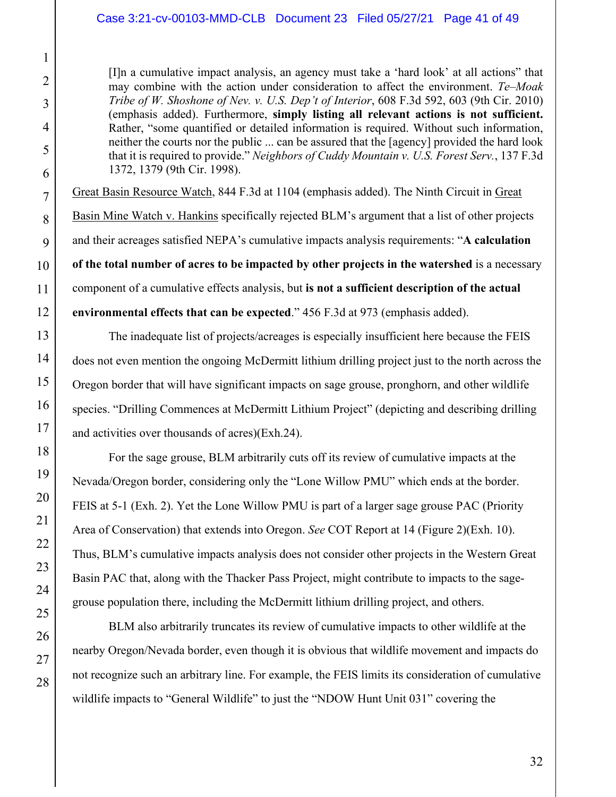#### Case 3:21-cv-00103-MMD-CLB Document 23 Filed 05/27/21 Page 41 of 49

[I]n a cumulative impact analysis, an agency must take a 'hard look' at all actions" that may combine with the action under consideration to affect the environment. *Te–Moak Tribe of W. Shoshone of Nev. v. U.S. Dep't of Interior*, 608 F.3d 592, 603 (9th Cir. 2010) (emphasis added). Furthermore, **simply listing all relevant actions is not sufficient.** Rather, "some quantified or detailed information is required. Without such information, neither the courts nor the public ... can be assured that the [agency] provided the hard look that it is required to provide." *Neighbors of Cuddy Mountain v. U.S. Forest Serv.*, 137 F.3d 1372, 1379 (9th Cir. 1998).

Great Basin Resource Watch, 844 F.3d at 1104 (emphasis added). The Ninth Circuit in Great Basin Mine Watch v. Hankins specifically rejected BLM's argument that a list of other projects and their acreages satisfied NEPA's cumulative impacts analysis requirements: "**A calculation of the total number of acres to be impacted by other projects in the watershed** is a necessary component of a cumulative effects analysis, but **is not a sufficient description of the actual environmental effects that can be expected**." 456 F.3d at 973 (emphasis added).

 The inadequate list of projects/acreages is especially insufficient here because the FEIS does not even mention the ongoing McDermitt lithium drilling project just to the north across the Oregon border that will have significant impacts on sage grouse, pronghorn, and other wildlife species. "Drilling Commences at McDermitt Lithium Project" (depicting and describing drilling and activities over thousands of acres)(Exh.24).

 For the sage grouse, BLM arbitrarily cuts off its review of cumulative impacts at the Nevada/Oregon border, considering only the "Lone Willow PMU" which ends at the border. FEIS at 5-1 (Exh. 2). Yet the Lone Willow PMU is part of a larger sage grouse PAC (Priority Area of Conservation) that extends into Oregon. *See* COT Report at 14 (Figure 2)(Exh. 10). Thus, BLM's cumulative impacts analysis does not consider other projects in the Western Great Basin PAC that, along with the Thacker Pass Project, might contribute to impacts to the sagegrouse population there, including the McDermitt lithium drilling project, and others.

BLM also arbitrarily truncates its review of cumulative impacts to other wildlife at the nearby Oregon/Nevada border, even though it is obvious that wildlife movement and impacts do not recognize such an arbitrary line. For example, the FEIS limits its consideration of cumulative wildlife impacts to "General Wildlife" to just the "NDOW Hunt Unit 031" covering the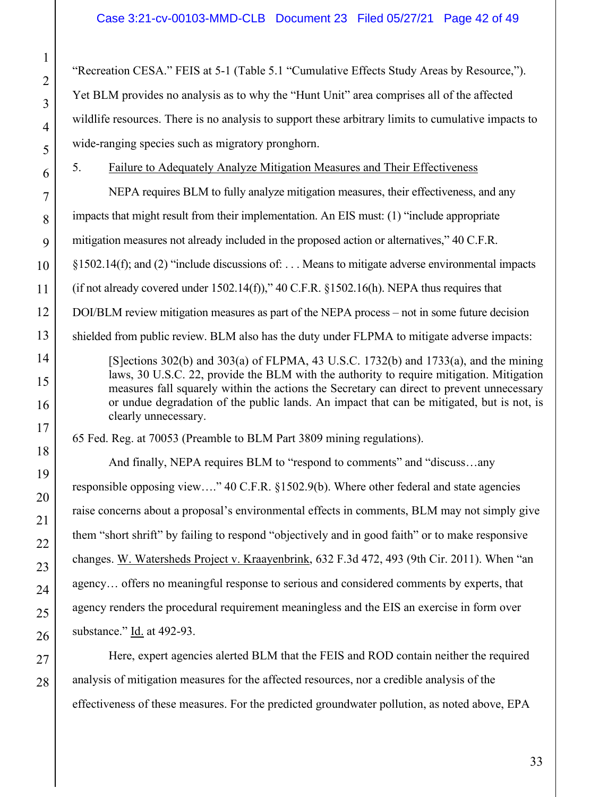"Recreation CESA." FEIS at 5-1 (Table 5.1 "Cumulative Effects Study Areas by Resource,"). Yet BLM provides no analysis as to why the "Hunt Unit" area comprises all of the affected wildlife resources. There is no analysis to support these arbitrary limits to cumulative impacts to wide-ranging species such as migratory pronghorn.

5. Failure to Adequately Analyze Mitigation Measures and Their Effectiveness

NEPA requires BLM to fully analyze mitigation measures, their effectiveness, and any impacts that might result from their implementation. An EIS must: (1) "include appropriate mitigation measures not already included in the proposed action or alternatives," 40 C.F.R. §1502.14(f); and (2) "include discussions of: . . . Means to mitigate adverse environmental impacts (if not already covered under  $1502.14(f)$ ),"  $40$  C.F.R.  $\S 1502.16(h)$ . NEPA thus requires that DOI/BLM review mitigation measures as part of the NEPA process – not in some future decision shielded from public review. BLM also has the duty under FLPMA to mitigate adverse impacts: [S]ections 302(b) and 303(a) of FLPMA, 43 U.S.C. 1732(b) and 1733(a), and the mining laws, 30 U.S.C. 22, provide the BLM with the authority to require mitigation. Mitigation measures fall squarely within the actions the Secretary can direct to prevent unnecessary or undue degradation of the public lands. An impact that can be mitigated, but is not, is clearly unnecessary. 65 Fed. Reg. at 70053 (Preamble to BLM Part 3809 mining regulations).

 And finally, NEPA requires BLM to "respond to comments" and "discuss…any responsible opposing view…." 40 C.F.R. §1502.9(b). Where other federal and state agencies raise concerns about a proposal's environmental effects in comments, BLM may not simply give them "short shrift" by failing to respond "objectively and in good faith" or to make responsive changes. W. Watersheds Project v. Kraayenbrink, 632 F.3d 472, 493 (9th Cir. 2011). When "an agency… offers no meaningful response to serious and considered comments by experts, that agency renders the procedural requirement meaningless and the EIS an exercise in form over substance." Id. at 492-93.

Here, expert agencies alerted BLM that the FEIS and ROD contain neither the required analysis of mitigation measures for the affected resources, nor a credible analysis of the effectiveness of these measures. For the predicted groundwater pollution, as noted above, EPA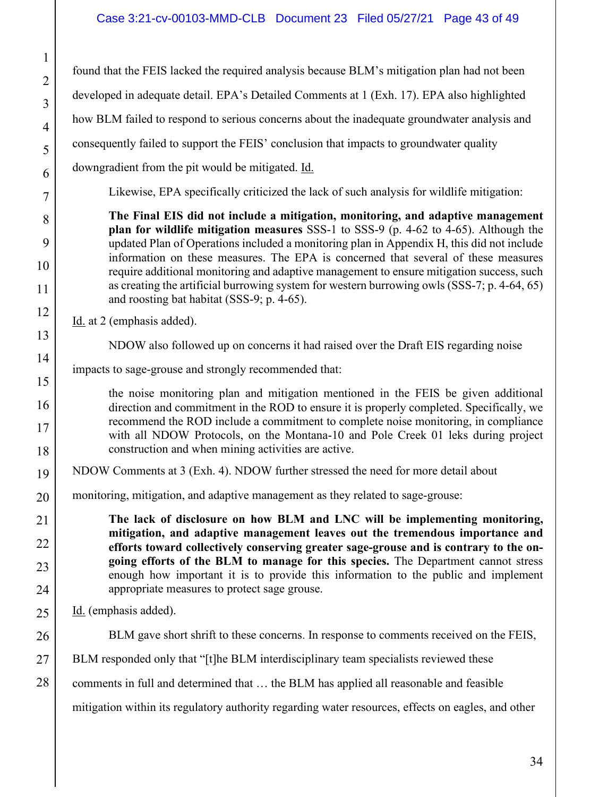found that the FEIS lacked the required analysis because BLM's mitigation plan had not been developed in adequate detail. EPA's Detailed Comments at 1 (Exh. 17). EPA also highlighted how BLM failed to respond to serious concerns about the inadequate groundwater analysis and consequently failed to support the FEIS' conclusion that impacts to groundwater quality downgradient from the pit would be mitigated. Id.

Likewise, EPA specifically criticized the lack of such analysis for wildlife mitigation:

**The Final EIS did not include a mitigation, monitoring, and adaptive management plan for wildlife mitigation measures** SSS-1 to SSS-9 (p. 4-62 to 4-65). Although the updated Plan of Operations included a monitoring plan in Appendix H, this did not include information on these measures. The EPA is concerned that several of these measures require additional monitoring and adaptive management to ensure mitigation success, such as creating the artificial burrowing system for western burrowing owls (SSS-7; p. 4-64, 65) and roosting bat habitat (SSS-9; p. 4-65).

Id. at 2 (emphasis added).

NDOW also followed up on concerns it had raised over the Draft EIS regarding noise

impacts to sage-grouse and strongly recommended that:

the noise monitoring plan and mitigation mentioned in the FEIS be given additional direction and commitment in the ROD to ensure it is properly completed. Specifically, we recommend the ROD include a commitment to complete noise monitoring, in compliance with all NDOW Protocols, on the Montana-10 and Pole Creek 01 leks during project construction and when mining activities are active.

NDOW Comments at 3 (Exh. 4). NDOW further stressed the need for more detail about

monitoring, mitigation, and adaptive management as they related to sage-grouse:

**The lack of disclosure on how BLM and LNC will be implementing monitoring, mitigation, and adaptive management leaves out the tremendous importance and efforts toward collectively conserving greater sage-grouse and is contrary to the ongoing efforts of the BLM to manage for this species.** The Department cannot stress enough how important it is to provide this information to the public and implement appropriate measures to protect sage grouse.

Id. (emphasis added).

BLM gave short shrift to these concerns. In response to comments received on the FEIS,

BLM responded only that "[t]he BLM interdisciplinary team specialists reviewed these

comments in full and determined that … the BLM has applied all reasonable and feasible

mitigation within its regulatory authority regarding water resources, effects on eagles, and other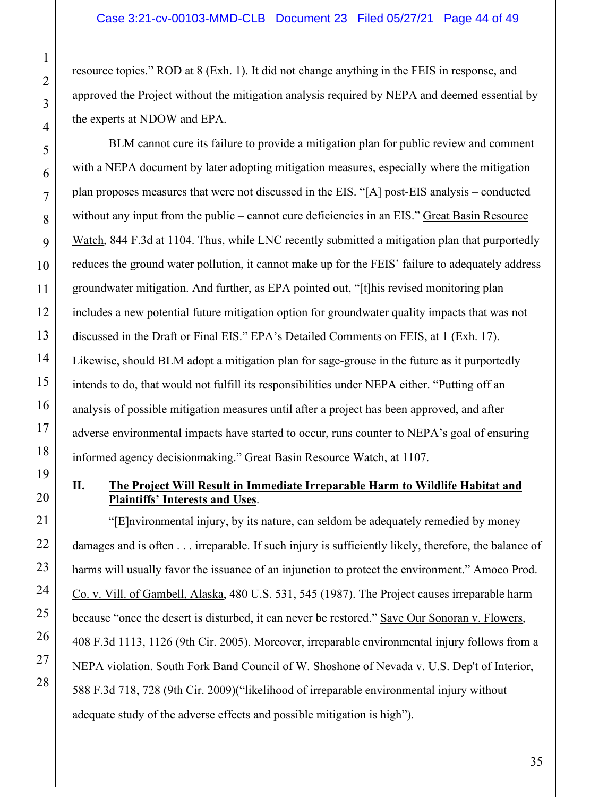resource topics." ROD at 8 (Exh. 1). It did not change anything in the FEIS in response, and approved the Project without the mitigation analysis required by NEPA and deemed essential by the experts at NDOW and EPA.

BLM cannot cure its failure to provide a mitigation plan for public review and comment with a NEPA document by later adopting mitigation measures, especially where the mitigation plan proposes measures that were not discussed in the EIS. "[A] post-EIS analysis – conducted without any input from the public – cannot cure deficiencies in an EIS." Great Basin Resource Watch, 844 F.3d at 1104. Thus, while LNC recently submitted a mitigation plan that purportedly reduces the ground water pollution, it cannot make up for the FEIS' failure to adequately address groundwater mitigation. And further, as EPA pointed out, "[t]his revised monitoring plan includes a new potential future mitigation option for groundwater quality impacts that was not discussed in the Draft or Final EIS." EPA's Detailed Comments on FEIS, at 1 (Exh. 17). Likewise, should BLM adopt a mitigation plan for sage-grouse in the future as it purportedly intends to do, that would not fulfill its responsibilities under NEPA either. "Putting off an analysis of possible mitigation measures until after a project has been approved, and after adverse environmental impacts have started to occur, runs counter to NEPA's goal of ensuring informed agency decisionmaking." Great Basin Resource Watch, at 1107.

# **II. The Project Will Result in Immediate Irreparable Harm to Wildlife Habitat and Plaintiffs' Interests and Uses**.

"[E]nvironmental injury, by its nature, can seldom be adequately remedied by money damages and is often . . . irreparable. If such injury is sufficiently likely, therefore, the balance of harms will usually favor the issuance of an injunction to protect the environment." Amoco Prod. Co. v. Vill. of Gambell, Alaska, 480 U.S. 531, 545 (1987). The Project causes irreparable harm because "once the desert is disturbed, it can never be restored." Save Our Sonoran v. Flowers, 408 F.3d 1113, 1126 (9th Cir. 2005). Moreover, irreparable environmental injury follows from a NEPA violation. South Fork Band Council of W. Shoshone of Nevada v. U.S. Dep't of Interior, 588 F.3d 718, 728 (9th Cir. 2009)("likelihood of irreparable environmental injury without adequate study of the adverse effects and possible mitigation is high").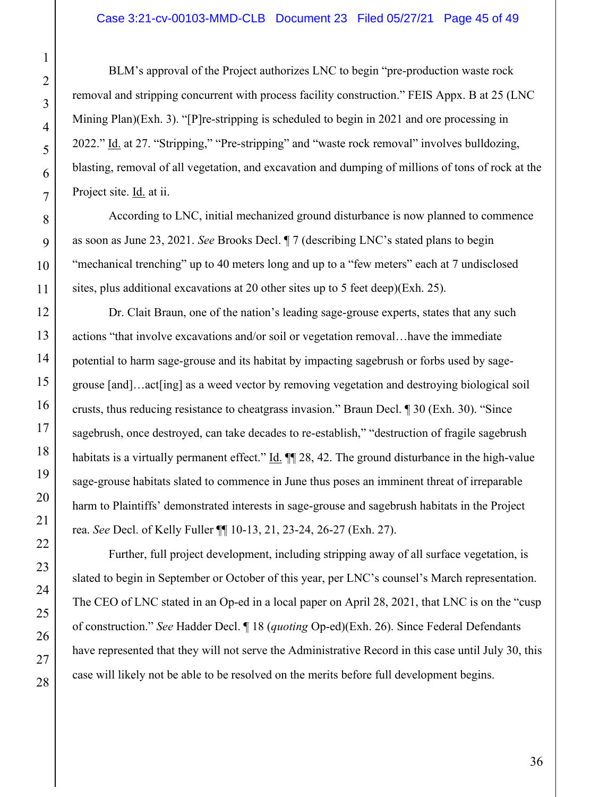BLM's approval of the Project authorizes LNC to begin "pre-production waste rock removal and stripping concurrent with process facility construction." FEIS Appx. B at 25 (LNC Mining Plan)(Exh. 3). "[P]re-stripping is scheduled to begin in 2021 and ore processing in 2022." Id. at 27. "Stripping," "Pre-stripping" and "waste rock removal" involves bulldozing, blasting, removal of all vegetation, and excavation and dumping of millions of tons of rock at the Project site. **Id.** at ii.

According to LNC, initial mechanized ground disturbance is now planned to commence as soon as June 23, 2021. *See* Brooks Decl. ¶ 7 (describing LNC's stated plans to begin "mechanical trenching" up to 40 meters long and up to a "few meters" each at 7 undisclosed sites, plus additional excavations at 20 other sites up to 5 feet deep)(Exh. 25).

Dr. Clait Braun, one of the nation's leading sage-grouse experts, states that any such actions "that involve excavations and/or soil or vegetation removal…have the immediate potential to harm sage-grouse and its habitat by impacting sagebrush or forbs used by sagegrouse [and]…act[ing] as a weed vector by removing vegetation and destroying biological soil crusts, thus reducing resistance to cheatgrass invasion." Braun Decl. ¶ 30 (Exh. 30). "Since sagebrush, once destroyed, can take decades to re-establish," "destruction of fragile sagebrush habitats is a virtually permanent effect." Id.  $\P$  28, 42. The ground disturbance in the high-value sage-grouse habitats slated to commence in June thus poses an imminent threat of irreparable harm to Plaintiffs' demonstrated interests in sage-grouse and sagebrush habitats in the Project rea. *See* Decl. of Kelly Fuller ¶¶ 10-13, 21, 23-24, 26-27 (Exh. 27).

Further, full project development, including stripping away of all surface vegetation, is slated to begin in September or October of this year, per LNC's counsel's March representation. The CEO of LNC stated in an Op-ed in a local paper on April 28, 2021, that LNC is on the "cusp of construction." *See* Hadder Decl. ¶ 18 (*quoting* Op-ed)(Exh. 26). Since Federal Defendants have represented that they will not serve the Administrative Record in this case until July 30, this case will likely not be able to be resolved on the merits before full development begins.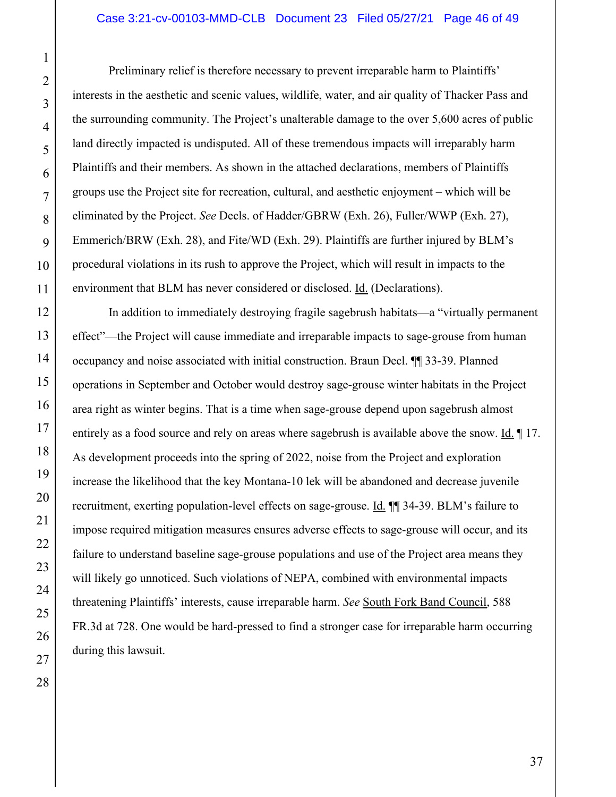Preliminary relief is therefore necessary to prevent irreparable harm to Plaintiffs' interests in the aesthetic and scenic values, wildlife, water, and air quality of Thacker Pass and the surrounding community. The Project's unalterable damage to the over 5,600 acres of public land directly impacted is undisputed. All of these tremendous impacts will irreparably harm Plaintiffs and their members. As shown in the attached declarations, members of Plaintiffs groups use the Project site for recreation, cultural, and aesthetic enjoyment – which will be eliminated by the Project. *See* Decls. of Hadder/GBRW (Exh. 26), Fuller/WWP (Exh. 27), Emmerich/BRW (Exh. 28), and Fite/WD (Exh. 29). Plaintiffs are further injured by BLM's procedural violations in its rush to approve the Project, which will result in impacts to the environment that BLM has never considered or disclosed. Id. (Declarations).

In addition to immediately destroying fragile sagebrush habitats—a "virtually permanent effect"—the Project will cause immediate and irreparable impacts to sage-grouse from human occupancy and noise associated with initial construction. Braun Decl. ¶¶ 33-39. Planned operations in September and October would destroy sage-grouse winter habitats in the Project area right as winter begins. That is a time when sage-grouse depend upon sagebrush almost entirely as a food source and rely on areas where sagebrush is available above the snow. Id. ¶ 17. As development proceeds into the spring of 2022, noise from the Project and exploration increase the likelihood that the key Montana-10 lek will be abandoned and decrease juvenile recruitment, exerting population-level effects on sage-grouse. Id. ¶¶ 34-39. BLM's failure to impose required mitigation measures ensures adverse effects to sage-grouse will occur, and its failure to understand baseline sage-grouse populations and use of the Project area means they will likely go unnoticed. Such violations of NEPA, combined with environmental impacts threatening Plaintiffs' interests, cause irreparable harm. *See* South Fork Band Council, 588 FR.3d at 728. One would be hard-pressed to find a stronger case for irreparable harm occurring during this lawsuit.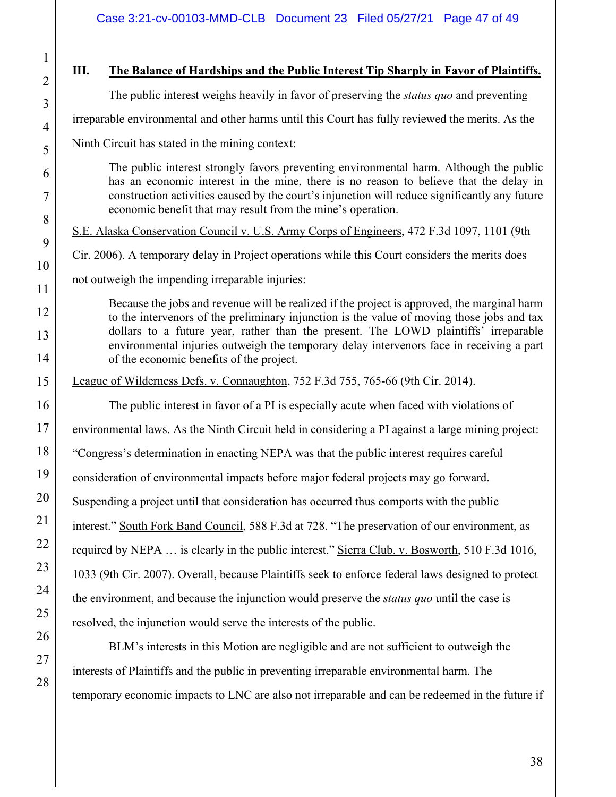# **III. The Balance of Hardships and the Public Interest Tip Sharply in Favor of Plaintiffs.**

The public interest weighs heavily in favor of preserving the *status quo* and preventing

irreparable environmental and other harms until this Court has fully reviewed the merits. As the

Ninth Circuit has stated in the mining context:

The public interest strongly favors preventing environmental harm. Although the public has an economic interest in the mine, there is no reason to believe that the delay in construction activities caused by the court's injunction will reduce significantly any future economic benefit that may result from the mine's operation.

S.E. Alaska Conservation Council v. U.S. Army Corps of Engineers, 472 F.3d 1097, 1101 (9th

Cir. 2006). A temporary delay in Project operations while this Court considers the merits does

not outweigh the impending irreparable injuries:

Because the jobs and revenue will be realized if the project is approved, the marginal harm to the intervenors of the preliminary injunction is the value of moving those jobs and tax dollars to a future year, rather than the present. The LOWD plaintiffs' irreparable environmental injuries outweigh the temporary delay intervenors face in receiving a part of the economic benefits of the project.

League of Wilderness Defs. v. Connaughton, 752 F.3d 755, 765-66 (9th Cir. 2014).

The public interest in favor of a PI is especially acute when faced with violations of environmental laws. As the Ninth Circuit held in considering a PI against a large mining project: "Congress's determination in enacting NEPA was that the public interest requires careful consideration of environmental impacts before major federal projects may go forward. Suspending a project until that consideration has occurred thus comports with the public interest." South Fork Band Council, 588 F.3d at 728. "The preservation of our environment, as required by NEPA … is clearly in the public interest." Sierra Club. v. Bosworth, 510 F.3d 1016, 1033 (9th Cir. 2007). Overall, because Plaintiffs seek to enforce federal laws designed to protect the environment, and because the injunction would preserve the *status quo* until the case is resolved, the injunction would serve the interests of the public.

BLM's interests in this Motion are negligible and are not sufficient to outweigh the interests of Plaintiffs and the public in preventing irreparable environmental harm. The temporary economic impacts to LNC are also not irreparable and can be redeemed in the future if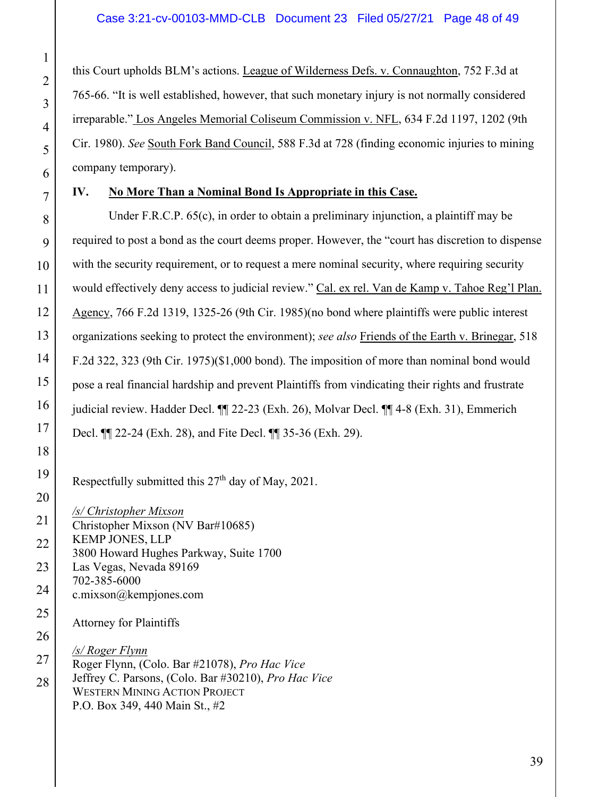this Court upholds BLM's actions. League of Wilderness Defs. v. Connaughton, 752 F.3d at 765-66. "It is well established, however, that such monetary injury is not normally considered irreparable." Los Angeles Memorial Coliseum Commission v. NFL, 634 F.2d 1197, 1202 (9th Cir. 1980). *See* South Fork Band Council, 588 F.3d at 728 (finding economic injuries to mining company temporary).

# **IV. No More Than a Nominal Bond Is Appropriate in this Case.**

 Under F.R.C.P. 65(c), in order to obtain a preliminary injunction, a plaintiff may be required to post a bond as the court deems proper. However, the "court has discretion to dispense with the security requirement, or to request a mere nominal security, where requiring security would effectively deny access to judicial review." Cal. ex rel. Van de Kamp v. Tahoe Reg'l Plan. Agency, 766 F.2d 1319, 1325-26 (9th Cir. 1985)(no bond where plaintiffs were public interest organizations seeking to protect the environment); *see also* Friends of the Earth v. Brinegar, 518 F.2d 322, 323 (9th Cir. 1975)(\$1,000 bond). The imposition of more than nominal bond would pose a real financial hardship and prevent Plaintiffs from vindicating their rights and frustrate judicial review. Hadder Decl. ¶¶ 22-23 (Exh. 26), Molvar Decl. ¶¶ 4-8 (Exh. 31), Emmerich Decl. ¶¶ 22-24 (Exh. 28), and Fite Decl. ¶¶ 35-36 (Exh. 29).

Respectfully submitted this  $27<sup>th</sup>$  day of May, 2021.

*/s/ Christopher Mixson*  Christopher Mixson (NV Bar#10685) KEMP JONES, LLP 3800 Howard Hughes Parkway, Suite 1700 Las Vegas, Nevada 89169 702-385-6000 c.mixson@kempjones.com Attorney for Plaintiffs

28 */s/ Roger Flynn*  Roger Flynn, (Colo. Bar #21078), *Pro Hac Vice*  Jeffrey C. Parsons, (Colo. Bar #30210), *Pro Hac Vice* WESTERN MINING ACTION PROJECT P.O. Box 349, 440 Main St., #2